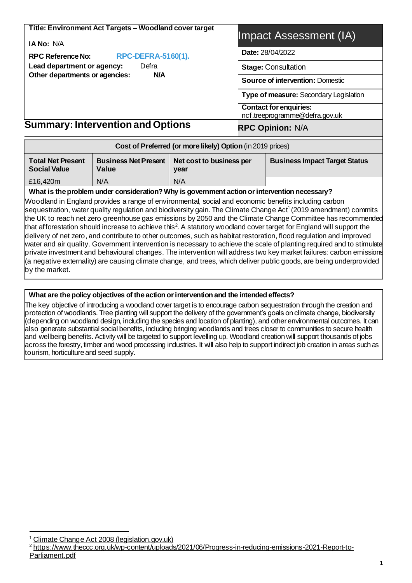| Title: Environment Act Targets - Woodland cover target                     | Impact Assessment (IA)                                          |  |  |
|----------------------------------------------------------------------------|-----------------------------------------------------------------|--|--|
| <b>IA No: N/A</b><br><b>RPC-DEFRA-5160(1).</b><br><b>RPC Reference No:</b> | Date: 28/04/2022                                                |  |  |
| Lead department or agency:<br>Defra                                        | <b>Stage: Consultation</b>                                      |  |  |
| Other departments or agencies:<br>N/A                                      | <b>Source of intervention: Domestic</b>                         |  |  |
|                                                                            | Type of measure: Secondary Legislation                          |  |  |
|                                                                            | <b>Contact for enquiries:</b><br>ncf.treeprogramme@defra.gov.uk |  |  |
| <b>Summary: Intervention and Options</b>                                   | <b>RPC Opinion: N/A</b>                                         |  |  |

| Cost of Preferred (or more likely) Option (in 2019 prices) |                                      |                                      |  |  |  |  |  |  |
|------------------------------------------------------------|--------------------------------------|--------------------------------------|--|--|--|--|--|--|
| <b>Total Net Present</b><br><b>Social Value</b>            | <b>Business Net Present</b><br>Value | <b>Business Impact Target Status</b> |  |  |  |  |  |  |
| N/A<br>N/A<br>£16,420m                                     |                                      |                                      |  |  |  |  |  |  |

#### **What is the problem under consideration? Why is government action orintervention necessary?**

Woodland in England provides a range of environmental, social and economic benefits including carbon sequestration, water quality regulation and biodiversity gain. The Climate Change Act<sup>1</sup> (2019 amendment) commits the UK to reach net zero greenhouse gas emissions by 2050 and the Climate Change Committee has recommended that afforestation should increase to achieve this<sup>2</sup>. A statutory woodland cover target for England will support the delivery of net zero, and contribute to other outcomes, such as habitat restoration, flood regulation and improved water and air quality. Government intervention is necessary to achieve the scale of planting required and to stimulate private investment and behavioural changes. The intervention will address two key market failures: carbon emissions (a negative externality) are causing climate change, and trees, which deliver public goods, are being underprovided by the market.

#### **What are the policy objectives of the action or intervention and the intended effects?**

The key objective of introducing a woodland cover target is to encourage carbon sequestration through the creation and protection of woodlands. Tree planting will support the delivery of the government's goals on climate change, biodiversity (depending on woodland design, including the species and location of planting), and other environmental outcomes. It can also generate substantial social benefits, including bringing woodlands and trees closer to communities to secure health and wellbeing benefits. Activity will be targeted to support levelling up. Woodland creation will support thousands of jobs across the forestry, timber and wood processing industries. It will also help to support indirect job creation in areas such as tourism, horticulture and seed supply.

[Climate Change Act 2008 \(legislation.gov.uk\)](https://www.legislation.gov.uk/ukpga/2008/27/contents)

<sup>2</sup> [https://www.theccc.org.uk/wp-content/uploads/2021/06/Progress-in-reducing-emissions-2021-Report-to-](https://www.theccc.org.uk/wp-content/uploads/2021/06/Progress-in-reducing-emissions-2021-Report-to-Parliament.pdf)[Parliament.pdf](https://www.theccc.org.uk/wp-content/uploads/2021/06/Progress-in-reducing-emissions-2021-Report-to-Parliament.pdf)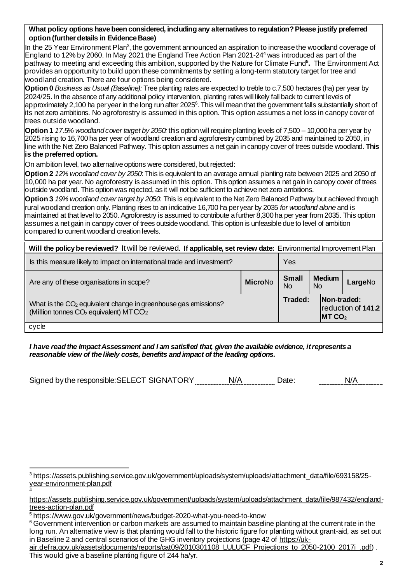#### **What policy options have been considered, including any alternatives to regulation? Please justify preferred option (further details in Evidence Base)**

In the 25 Year Environment Plan<sup>3</sup>, the government announced an aspiration to increase the woodland coverage of England to 12% by 2060. In May 2021 the England Tree Action Plan 2021-24<sup>4</sup> was introduced as part of the pathway to meeting and exceeding this ambition, supported by the Nature for Climate Fund**<sup>5</sup> .** The Environment Act provides an opportunity to build upon these commitments by setting a long-term statutory target for tree and woodland creation. There are four options being considered.

**Option 0** *Business as Usual (Baseline):* Tree planting rates are expected to treble to c.7,500 hectares (ha) per year by 2024/25. In the absence of any additional policy intervention, planting rates will likely fall back to current levels of approximately 2,100 ha per year in the long run after 2025 $^{\rm 6}$ . This will mean that the government falls substantially short of its net zero ambitions. No agroforestry is assumed in this option. This option assumes a net loss in canopy cover of trees outside woodland.

**Option 1** *17.5% woodland cover target by 2050:* this option will require planting levels of 7,500 – 10,000 ha per year by 2025 rising to 16,700 ha per year of woodland creation and agroforestry combined by 2035 and maintained to 2050, in line with the Net Zero Balanced Pathway. This option assumes a net gain in canopy cover of trees outside woodland. **This is the preferred option.**

On ambition level, two alternative options were considered, but rejected:

**Option 2** *12% woodland cover by 2050*: This is equivalent to an average annual planting rate between 2025 and 2050 of 10,000 ha per year. No agroforestry is assumed in this option. This option assumes a net gain in canopy cover of trees outside woodland. This option was rejected, as it will not be sufficient to achieve net zero ambitions.

**Option 3** *19% woodland cover target by 2050*: This is equivalent to the Net Zero Balanced Pathway but achieved through rural woodland creation only. Planting rises to an indicative 16,700 ha per year by 2035 *for woodland alone* and is maintained at that level to 2050. Agroforestry is assumed to contribute a further 8,300 ha per year from 2035. This option assumes a net gain in canopy cover of trees outside woodland. This option is unfeasible due to level of ambition compared to current woodland creation levels.

| Will the policy be reviewed? It will be reviewed. If applicable, set review date: Environmental Improvement Plan                            |                |                    |    |                                  |                    |  |  |
|---------------------------------------------------------------------------------------------------------------------------------------------|----------------|--------------------|----|----------------------------------|--------------------|--|--|
| Is this measure likely to impact on international trade and investment?<br>Yes                                                              |                |                    |    |                                  |                    |  |  |
| Are any of these organisations in scope?                                                                                                    | <b>MicroNo</b> | <b>Small</b><br>No | No | <b>Medium</b>                    | LargeNo            |  |  |
| What is the CO <sub>2</sub> equivalent change in greenhouse gas emissions?<br>(Million tonnes CO <sub>2</sub> equivalent) MTCO <sub>2</sub> |                | Traded:            |    | Non-traded:<br>MTCO <sub>2</sub> | reduction of 141.2 |  |  |
| cycle                                                                                                                                       |                |                    |    |                                  |                    |  |  |

*I have read the Impact Assessment and I am satisfied that, given the available evidence, it represents a reasonable view of the likely costs, benefits and impact of the leading options.*

Signed by the responsible: SELECT SIGNATORY N/A N/A Date: N/A N/A

4

<sup>3</sup> [https://assets.publishing.service.gov.uk/government/uploads/system/uploads/attachment\\_data/file/693158/25](https://assets.publishing.service.gov.uk/government/uploads/system/uploads/attachment_data/file/693158/25-year-environment-plan.pdf) [year-environment-plan.pdf](https://assets.publishing.service.gov.uk/government/uploads/system/uploads/attachment_data/file/693158/25-year-environment-plan.pdf)

[https://assets.publishing.service.gov.uk/government/uploads/system/uploads/attachment\\_data/file/987432/england](https://assets.publishing.service.gov.uk/government/uploads/system/uploads/attachment_data/file/987432/england-trees-action-plan.pdf)[trees-action-plan.pdf](https://assets.publishing.service.gov.uk/government/uploads/system/uploads/attachment_data/file/987432/england-trees-action-plan.pdf)

<sup>5</sup> <https://www.gov.uk/government/news/budget-2020-what-you-need-to-know>

<sup>&</sup>lt;sup>6</sup> Government intervention or carbon markets are assumed to maintain baseline planting at the current rate in the long run. An alternative view is that planting would fall to the historic figure for planting without grant-aid, as set out in Baseline 2 and central scenarios of the GHG inventory projections (page 42 o[f https://uk-](https://uk-air.defra.gov.uk/assets/documents/reports/cat09/2010301108_LULUCF_Projections_to_2050-2100_2017i_.pdf)

[air.defra.gov.uk/assets/documents/reports/cat09/2010301108\\_LULUCF\\_Projections\\_to\\_2050-2100\\_2017i\\_.pdf](https://uk-air.defra.gov.uk/assets/documents/reports/cat09/2010301108_LULUCF_Projections_to_2050-2100_2017i_.pdf)) . This would give a baseline planting figure of 244 ha/yr.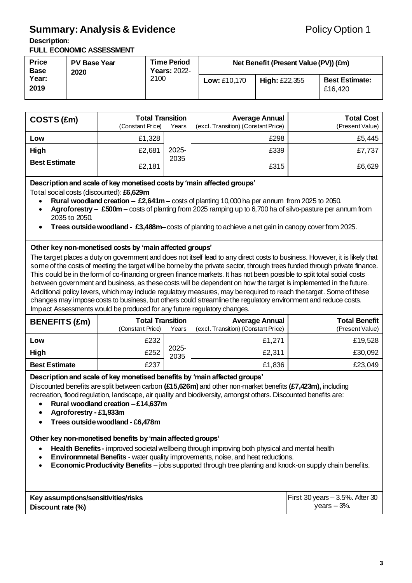## **Summary: Analysis & Evidence Policy Option 1**

#### **Description:**

**FULL ECONOMIC ASSESSMENT**

| <b>Price</b><br><b>Base</b> | <b>Time Period</b><br><b>PV Base Year</b><br>Net Benefit (Present Value (PV)) (£m)<br><b>Years: 2022-</b><br>2020 |                     |                 |                                  |  |
|-----------------------------|-------------------------------------------------------------------------------------------------------------------|---------------------|-----------------|----------------------------------|--|
| Year:<br>2019               | 2100                                                                                                              | <b>Low: £10,170</b> | High: $£22,355$ | <b>Best Estimate:</b><br>£16.420 |  |

| COSTS (£m)           | <b>Total Transition</b><br>(Constant Price)<br>Years |       | <b>Average Annual</b><br>(excl. Transition) (Constant Price) | <b>Total Cost</b><br>(Present Value) |
|----------------------|------------------------------------------------------|-------|--------------------------------------------------------------|--------------------------------------|
| Low                  | £1,328                                               |       | £298                                                         | £5,445                               |
| High                 | £2,681                                               | 2025- | £339                                                         | £7,737                               |
| <b>Best Estimate</b> | £2,181                                               | 2035  | £315                                                         | £6,629                               |

**Description and scale of key monetised costs by 'main affected groups'** 

Total social costs (discounted): **£6,629m**

- **Rural woodland creation £2,641m –** costs of planting 10,000ha per annum from 2025 to 2050.
- **Agroforestry £500m –** costs of planting from 2025 ramping up to 6,700 ha of silvo-pasture per annum from 2035 to 2050.
- **Trees outside woodland £3,488m–**costs of planting to achieve a net gain in canopy cover from 2025.

#### **Other key non-monetised costs by 'main affected groups'**

The target places a duty on government and does not itself lead to any direct costs to business. However, it is likely that some of the costs of meeting the target will be borne by the private sector, through trees funded through private finance. This could be in the form of co-financing or green finance markets. It has not been possible to split total social costs between government and business, as these costs will be dependent on how the target is implemented in the future. Additional policy levers, which may include regulatory measures, may be required to reach the target. Some of these changes may impose costs to business, but others could streamline the regulatory environment and reduce costs. Impact Assessments would be produced for any future regulatory changes.

| <b>BENEFITS (£m)</b> | <b>Total Transition</b><br>(Constant Price)<br>Years |               | <b>Average Annual</b><br>(excl. Transition) (Constant Price) | <b>Total Benefit</b><br>(Present Value) |  |
|----------------------|------------------------------------------------------|---------------|--------------------------------------------------------------|-----------------------------------------|--|
| Low                  | £232                                                 |               | £1,271                                                       | £19,528                                 |  |
| High                 | £252                                                 | 2025-<br>2035 | £2,311                                                       | £30,092                                 |  |
| <b>Best Estimate</b> | £237                                                 |               | £1,836                                                       | £23,049                                 |  |

#### **Description and scale of key monetised benefits by 'main affected groups'**

Discounted benefits are split between carbon **(£15,626m)** and other non-market benefits **(£7,423m),** including recreation, flood regulation, landscape, air quality and biodiversity, amongst others. Discounted benefits are:

- **Rural woodland creation – £14,637m**
- **Agroforestry - £1,933m**
- **Trees outside woodland - £6,478m**

#### **Other key non-monetised benefits by 'main affected groups'**

- **Health Benefits -** improved societal wellbeing through improving both physical and mental health
- **Environmnetal Benefits** water quality improvements, noise, and heat reductions.
- **Economic Productivity Benefits** jobs supported through tree planting and knock-on supply chain benefits.

| Key assumptions/sensitivities/risks | First 30 years $-3.5%$ . After 30 |
|-------------------------------------|-----------------------------------|
| Discount rate (%)                   | years – 3%.                       |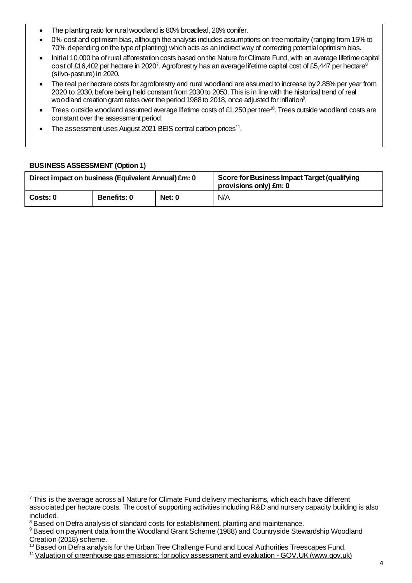- The planting ratio for rural woodland is 80% broadleaf, 20% conifer.
- 0% cost and optimism bias, although the analysis includes assumptions on tree mortality (ranging from 15% to 70% depending on the type of planting) which acts as an indirect way of correcting potential optimism bias.
- Initial 10,000 ha of rural afforestation costs based on the Nature for Climate Fund, with an average lifetime capital  $\cot$  of £16,402 per hectare in 2020<sup>7</sup>. Agroforestry has an average lifetime capital cost of £5,447 per hectare $^8$ (silvo-pasture)in 2020.
- The real per hectare costs for agroforestry and rural woodland are assumed to increase by 2.85% per year from 2020 to 2030, before being held constant from 2030 to 2050. This is in line with the historical trend of real woodland creation grant rates over the period 1988 to 2018, once adjusted for inflation<sup>9</sup>.
- Trees outside woodland assumed average lifetime costs of £1,250 per tree<sup>10</sup>. Trees outside woodland costs are constant over the assessment period.
- The assessment uses August 2021 BEIS central carbon prices<sup>11</sup>.

#### **BUSINESS ASSESSMENT (Option 1)**

| Direct impact on business (Equivalent Annual) £m: 0 |                    |        | Score for Business Impact Target (qualifying<br>provisions only) £m: 0 |  |  |
|-----------------------------------------------------|--------------------|--------|------------------------------------------------------------------------|--|--|
| l  Costs: 0                                         | <b>Benefits: 0</b> | Net: 0 | N/A                                                                    |  |  |

 $7$  This is the average across all Nature for Climate Fund delivery mechanisms, which each have different associated per hectare costs. The cost of supporting activities including R&D and nursery capacity building is also included.

<sup>&</sup>lt;sup>8</sup> Based on Defra analysis of standard costs for establishment, planting and maintenance.

<sup>&</sup>lt;sup>9</sup> Based on payment data from the Woodland Grant Scheme (1988) and Countryside Stewardship Woodland Creation (2018) scheme.

<sup>&</sup>lt;sup>10</sup> Based on Defra analysis for the Urban Tree Challenge Fund and Local Authorities Treescapes Fund.

<sup>&</sup>lt;sup>11</sup> [Valuation of greenhouse gas emissions: for policy assessment and evaluation -](https://www.gov.uk/government/publications/valuing-greenhouse-gas-emissions-in-policy-appraisal/valuation-of-greenhouse-gas-emissions-for-policy-appraisal-and-evaluation#annex-1-carbon-values-in-2020-prices-per-tonne-of-co2) GOV. UK (www.gov.uk)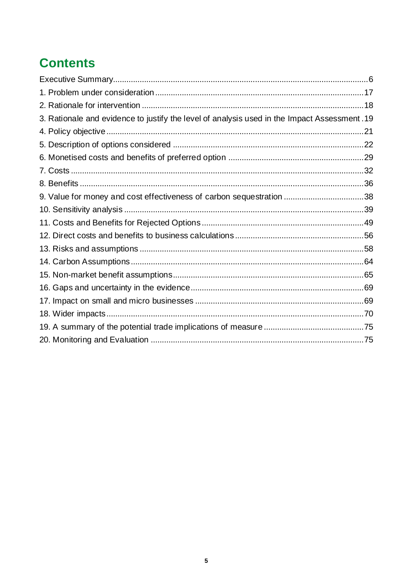# **Contents**

| 3. Rationale and evidence to justify the level of analysis used in the Impact Assessment. 19 |  |
|----------------------------------------------------------------------------------------------|--|
|                                                                                              |  |
|                                                                                              |  |
|                                                                                              |  |
|                                                                                              |  |
|                                                                                              |  |
|                                                                                              |  |
|                                                                                              |  |
|                                                                                              |  |
|                                                                                              |  |
|                                                                                              |  |
|                                                                                              |  |
|                                                                                              |  |
|                                                                                              |  |
|                                                                                              |  |
|                                                                                              |  |
|                                                                                              |  |
|                                                                                              |  |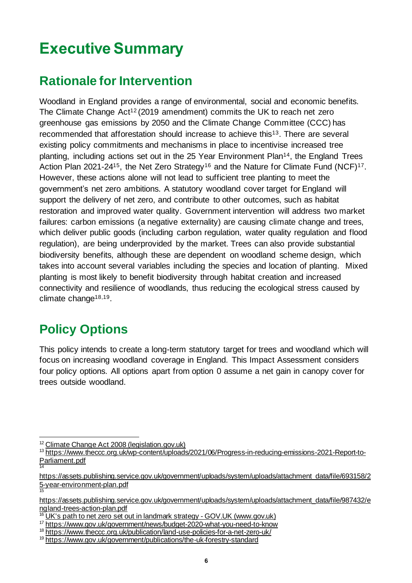# <span id="page-5-0"></span>**Executive Summary**

# **Rationale for Intervention**

Woodland in England provides a range of environmental, social and economic benefits. The Climate Change Act<sup>12</sup> (2019 amendment) commits the UK to reach net zero greenhouse gas emissions by 2050 and the Climate Change Committee (CCC) has recommended that afforestation should increase to achieve this<sup>13</sup>. There are several existing policy commitments and mechanisms in place to incentivise increased tree planting, including actions set out in the 25 Year Environment Plan<sup>14</sup>, the England Trees Action Plan 2021-24<sup>15</sup>, the Net Zero Strategy<sup>16</sup> and the Nature for Climate Fund (NCF)<sup>17</sup>. However, these actions alone will not lead to sufficient tree planting to meet the government's net zero ambitions. A statutory woodland cover target for England will support the delivery of net zero, and contribute to other outcomes, such as habitat restoration and improved water quality. Government intervention will address two market failures: carbon emissions (a negative externality) are causing climate change and trees, which deliver public goods (including carbon regulation, water quality regulation and flood regulation), are being underprovided by the market. Trees can also provide substantial biodiversity benefits, although these are dependent on woodland scheme design, which takes into account several variables including the species and location of planting. Mixed planting is most likely to benefit biodiversity through habitat creation and increased connectivity and resilience of woodlands, thus reducing the ecological stress caused by climate change18,19.

# **Policy Options**

This policy intends to create a long-term statutory target for trees and woodland which will focus on increasing woodland coverage in England. This Impact Assessment considers four policy options. All options apart from option 0 assume a net gain in canopy cover for trees outside woodland.

<sup>12</sup> [Climate Change Act 2008 \(legislation.gov.uk\)](https://www.legislation.gov.uk/ukpga/2008/27/contents)

<sup>13</sup> [https://www.theccc.org.uk/wp-content/uploads/2021/06/Progress-in-reducing-emissions-2021-Report-to-](https://www.theccc.org.uk/wp-content/uploads/2021/06/Progress-in-reducing-emissions-2021-Report-to-Parliament.pdf)[Parliament.pdf](https://www.theccc.org.uk/wp-content/uploads/2021/06/Progress-in-reducing-emissions-2021-Report-to-Parliament.pdf) 14

[https://assets.publishing.service.gov.uk/government/uploads/system/uploads/attachment\\_data/file/693158/2](https://assets.publishing.service.gov.uk/government/uploads/system/uploads/attachment_data/file/693158/25-year-environment-plan.pdf) [5-year-environment-plan.pdf](https://assets.publishing.service.gov.uk/government/uploads/system/uploads/attachment_data/file/693158/25-year-environment-plan.pdf) 15

[https://assets.publishing.service.gov.uk/government/uploads/system/uploads/attachment\\_data/file/987432/e](https://assets.publishing.service.gov.uk/government/uploads/system/uploads/attachment_data/file/987432/england-trees-action-plan.pdf) [ngland-trees-action-plan.pdf](https://assets.publishing.service.gov.uk/government/uploads/system/uploads/attachment_data/file/987432/england-trees-action-plan.pdf)

<sup>&</sup>lt;sup>16</sup> [UK's path to net zero set out in landmark strategy -](https://www.gov.uk/government/news/uks-path-to-net-zero-set-out-in-landmark-strategy) GOV.UK (www.gov.uk)

<sup>17</sup> <https://www.gov.uk/government/news/budget-2020-what-you-need-to-know>

<sup>&</sup>lt;sup>18</sup> <https://www.theccc.org.uk/publication/land-use-policies-for-a-net-zero-uk/>

<sup>&</sup>lt;sup>19</sup> <https://www.gov.uk/government/publications/the-uk-forestry-standard>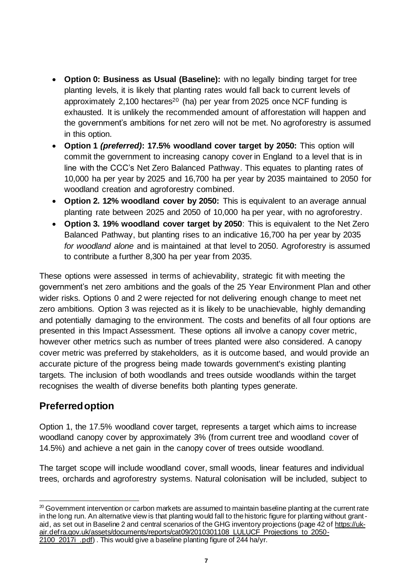- **Option 0: Business as Usual (Baseline):** with no legally binding target for tree planting levels, it is likely that planting rates would fall back to current levels of approximately  $2,100$  hectares<sup>20</sup> (ha) per year from 2025 once NCF funding is exhausted. It is unlikely the recommended amount of afforestation will happen and the government's ambitions for net zero will not be met. No agroforestry is assumed in this option.
- **Option 1** *(preferred)***: 17.5% woodland cover target by 2050:** This option will commit the government to increasing canopy cover in England to a level that is in line with the CCC's Net Zero Balanced Pathway. This equates to planting rates of 10,000 ha per year by 2025 and 16,700 ha per year by 2035 maintained to 2050 for woodland creation and agroforestry combined.
- **Option 2. 12% woodland cover by 2050:** This is equivalent to an average annual planting rate between 2025 and 2050 of 10,000 ha per year, with no agroforestry.
- **Option 3. 19% woodland cover target by 2050**: This is equivalent to the Net Zero Balanced Pathway, but planting rises to an indicative 16,700 ha per year by 2035 *for woodland alone* and is maintained at that level to 2050. Agroforestry is assumed to contribute a further 8,300 ha per year from 2035.

These options were assessed in terms of achievability, strategic fit with meeting the government's net zero ambitions and the goals of the 25 Year Environment Plan and other wider risks. Options 0 and 2 were rejected for not delivering enough change to meet net zero ambitions. Option 3 was rejected as it is likely to be unachievable, highly demanding and potentially damaging to the environment. The costs and benefits of all four options are presented in this Impact Assessment. These options all involve a canopy cover metric, however other metrics such as number of trees planted were also considered. A canopy cover metric was preferred by stakeholders, as it is outcome based, and would provide an accurate picture of the progress being made towards government's existing planting targets. The inclusion of both woodlands and trees outside woodlands within the target recognises the wealth of diverse benefits both planting types generate.

## **Preferred option**

Option 1, the 17.5% woodland cover target, represents a target which aims to increase woodland canopy cover by approximately 3% (from current tree and woodland cover of 14.5%) and achieve a net gain in the canopy cover of trees outside woodland.

The target scope will include woodland cover, small woods, linear features and individual trees, orchards and agroforestry systems. Natural colonisation will be included, subject to

2100 2017i .pdf). This would give a baseline planting figure of 244 ha/yr.

<sup>&</sup>lt;sup>20</sup> Government intervention or carbon markets are assumed to maintain baseline planting at the current rate in the long run. An alternative view is that planting would fall to the historic figure for planting without grantaid, as set out in Baseline 2 and central scenarios of the GHG inventory projections (page 42 o[f https://uk](https://uk-air.defra.gov.uk/assets/documents/reports/cat09/2010301108_LULUCF_Projections_to_2050-2100_2017i_.pdf)[air.defra.gov.uk/assets/documents/reports/cat09/2010301108\\_LULUCF\\_Projections\\_to\\_2050-](https://uk-air.defra.gov.uk/assets/documents/reports/cat09/2010301108_LULUCF_Projections_to_2050-2100_2017i_.pdf)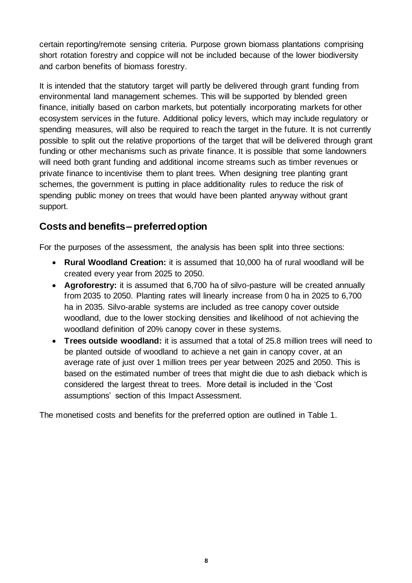certain reporting/remote sensing criteria. Purpose grown biomass plantations comprising short rotation forestry and coppice will not be included because of the lower biodiversity and carbon benefits of biomass forestry.

It is intended that the statutory target will partly be delivered through grant funding from environmental land management schemes. This will be supported by blended green finance, initially based on carbon markets, but potentially incorporating markets for other ecosystem services in the future. Additional policy levers, which may include regulatory or spending measures, will also be required to reach the target in the future. It is not currently possible to split out the relative proportions of the target that will be delivered through grant funding or other mechanisms such as private finance. It is possible that some landowners will need both grant funding and additional income streams such as timber revenues or private finance to incentivise them to plant trees. When designing tree planting grant schemes, the government is putting in place additionality rules to reduce the risk of spending public money on trees that would have been planted anyway without grant support.

## **Costs and benefits– preferred option**

For the purposes of the assessment, the analysis has been split into three sections:

- **Rural Woodland Creation:** it is assumed that 10,000 ha of rural woodland will be created every year from 2025 to 2050.
- **Agroforestry:** it is assumed that 6,700 ha of silvo-pasture will be created annually from 2035 to 2050. Planting rates will linearly increase from 0 ha in 2025 to 6,700 ha in 2035. Silvo-arable systems are included as tree canopy cover outside woodland, due to the lower stocking densities and likelihood of not achieving the woodland definition of 20% canopy cover in these systems.
- **Trees outside woodland:** it is assumed that a total of 25.8 million trees will need to be planted outside of woodland to achieve a net gain in canopy cover, at an average rate of just over 1 million trees per year between 2025 and 2050. This is based on the estimated number of trees that might die due to ash dieback which is considered the largest threat to trees. More detail is included in the 'Cost assumptions' section of this Impact Assessment.

The monetised costs and benefits for the preferred option are outlined in Table 1.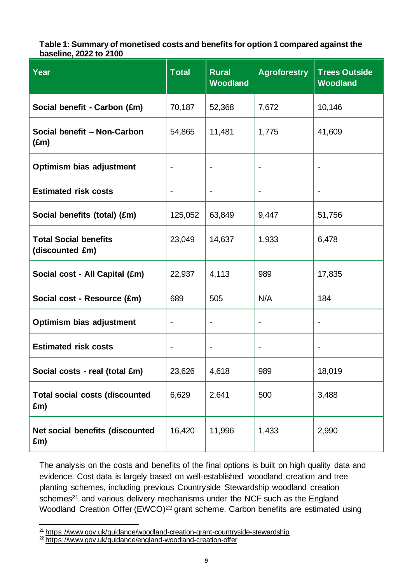#### **Table 1: Summary of monetised costs and benefits for option 1 compared against the baseline, 2022 to 2100**

| Year                                            | <b>Total</b>                 | <b>Rural</b><br><b>Woodland</b> | <b>Agroforestry</b>      | <b>Trees Outside</b><br><b>Woodland</b> |
|-------------------------------------------------|------------------------------|---------------------------------|--------------------------|-----------------------------------------|
| Social benefit - Carbon (£m)                    | 70,187                       | 52,368                          | 7,672                    | 10,146                                  |
| Social benefit - Non-Carbon<br>$(\text{Em})$    | 54,865                       | 11,481                          | 1,775                    | 41,609                                  |
| Optimism bias adjustment                        |                              |                                 |                          |                                         |
| <b>Estimated risk costs</b>                     | $\overline{a}$               | $\qquad \qquad \blacksquare$    |                          |                                         |
| Social benefits (total) (£m)                    | 125,052                      | 63,849                          | 9,447                    | 51,756                                  |
| <b>Total Social benefits</b><br>(discounted £m) | 23,049                       | 14,637                          | 1,933                    | 6,478                                   |
| Social cost - All Capital (£m)                  | 22,937                       | 4,113                           | 989                      | 17,835                                  |
| Social cost - Resource (£m)                     | 689                          | 505                             | N/A                      | 184                                     |
| Optimism bias adjustment                        | $\qquad \qquad \blacksquare$ | $\overline{\phantom{0}}$        | $\overline{\phantom{a}}$ |                                         |
| <b>Estimated risk costs</b>                     |                              | $\overline{\phantom{0}}$        |                          |                                         |
| Social costs - real (total £m)                  | 23,626                       | 4,618                           | 989                      | 18,019                                  |
| <b>Total social costs (discounted</b><br>£m)    | 6,629                        | 2,641                           | 500                      | 3,488                                   |
| Net social benefits (discounted<br>£m)          | 16,420                       | 11,996                          | 1,433                    | 2,990                                   |

The analysis on the costs and benefits of the final options is built on high quality data and evidence. Cost data is largely based on well-established woodland creation and tree planting schemes, including previous Countryside Stewardship woodland creation schemes<sup>21</sup> and various delivery mechanisms under the NCF such as the England Woodland Creation Offer (EWCO)<sup>22</sup> grant scheme. Carbon benefits are estimated using

<sup>&</sup>lt;sup>21</sup> <https://www.gov.uk/guidance/woodland-creation-grant-countryside-stewardship>

<sup>22</sup> <https://www.gov.uk/guidance/england-woodland-creation-offer>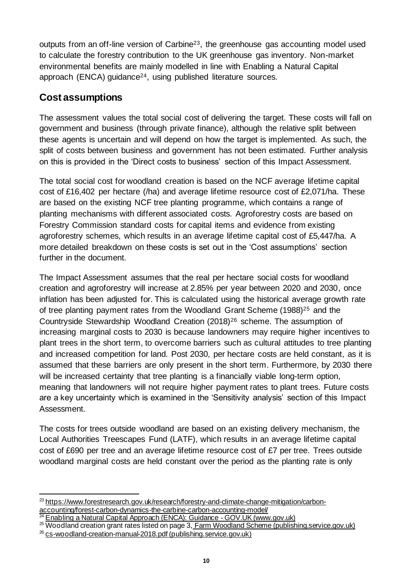outputs from an off-line version of Carbine23, the greenhouse gas accounting model used to calculate the forestry contribution to the UK greenhouse gas inventory. Non-market environmental benefits are mainly modelled in line with Enabling a Natural Capital approach (ENCA) guidance<sup>24</sup>, using published literature sources.

### **Cost assumptions**

The assessment values the total social cost of delivering the target. These costs will fall on government and business (through private finance), although the relative split between these agents is uncertain and will depend on how the target is implemented. As such, the split of costs between business and government has not been estimated. Further analysis on this is provided in the 'Direct costs to business' section of this Impact Assessment.

The total social cost for woodland creation is based on the NCF average lifetime capital cost of £16,402 per hectare (/ha) and average lifetime resource cost of £2,071/ha. These are based on the existing NCF tree planting programme, which contains a range of planting mechanisms with different associated costs. Agroforestry costs are based on Forestry Commission standard costs for capital items and evidence from existing agroforestry schemes, which results in an average lifetime capital cost of £5,447/ha. A more detailed breakdown on these costs is set out in the 'Cost assumptions' section further in the document.

The Impact Assessment assumes that the real per hectare social costs for woodland creation and agroforestry will increase at 2.85% per year between 2020 and 2030, once inflation has been adjusted for. This is calculated using the historical average growth rate of tree planting payment rates from the Woodland Grant Scheme (1988)<sup>25</sup> and the Countryside Stewardship Woodland Creation (2018)<sup>26</sup> scheme. The assumption of increasing marginal costs to 2030 is because landowners may require higher incentives to plant trees in the short term, to overcome barriers such as cultural attitudes to tree planting and increased competition for land. Post 2030, per hectare costs are held constant, as it is assumed that these barriers are only present in the short term. Furthermore, by 2030 there will be increased certainty that tree planting is a financially viable long-term option, meaning that landowners will not require higher payment rates to plant trees. Future costs are a key uncertainty which is examined in the 'Sensitivity analysis' section of this Impact Assessment.

The costs for trees outside woodland are based on an existing delivery mechanism, the Local Authorities Treescapes Fund (LATF), which results in an average lifetime capital cost of £690 per tree and an average lifetime resource cost of £7 per tree. Trees outside woodland marginal costs are held constant over the period as the planting rate is only

<sup>&</sup>lt;sup>23</sup> [https://www.forestresearch.gov.uk/research/forestry-and-climate-change-mitigation/carbon](https://www.forestresearch.gov.uk/research/forestry-and-climate-change-mitigation/carbon-accounting/forest-carbon-dynamics-the-carbine-carbon-accounting-model/)[accounting/forest-carbon-dynamics-the-carbine-carbon-accounting-model/](https://www.forestresearch.gov.uk/research/forestry-and-climate-change-mitigation/carbon-accounting/forest-carbon-dynamics-the-carbine-carbon-accounting-model/)

[Enabling a Natural Capital Approach \(ENCA\): Guidance -](https://www.gov.uk/government/publications/enabling-a-natural-capital-approach-enca-guidance) GOV.UK (www.gov.uk)

<sup>&</sup>lt;sup>25</sup> Woodland creation grant rates listed on page 3, [Farm Woodland Scheme \(publishing.service.gov.uk\)](https://assets.publishing.service.gov.uk/government/uploads/system/uploads/attachment_data/file/722179/FWS_summary.pdf) <sup>26</sup> [cs-woodland-creation-manual-2018.pdf \(publishing.service.gov.uk\)](https://assets.publishing.service.gov.uk/government/uploads/system/uploads/attachment_data/file/739051/cs-woodland-creation-manual-2018.pdf)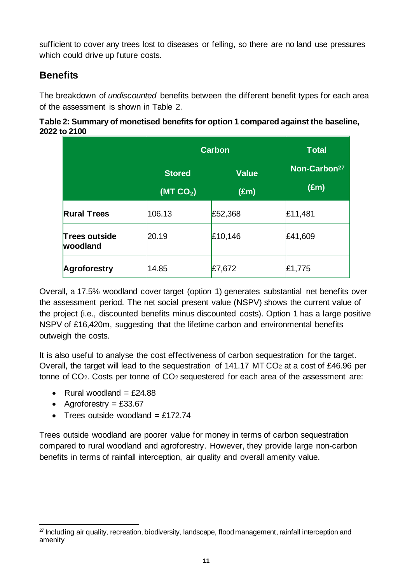sufficient to cover any trees lost to diseases or felling, so there are no land use pressures which could drive up future costs.

## **Benefits**

The breakdown of *undiscounted* benefits between the different benefit types for each area of the assessment is shown in Table 2.

### **Table 2: Summary of monetised benefits for option 1 compared against the baseline, 2022 to 2100**

|                                  |                                       | <b>Carbon</b>                 | <b>Total</b>                              |
|----------------------------------|---------------------------------------|-------------------------------|-------------------------------------------|
|                                  | <b>Stored</b><br>(MTCO <sub>2</sub> ) | <b>Value</b><br>$(\text{Em})$ | Non-Carbon <sup>27</sup><br>$(\text{Em})$ |
| <b>Rural Trees</b>               | 106.13                                | £52,368                       | £11,481                                   |
| <b>Trees outside</b><br>woodland | 20.19                                 | £10,146                       | £41,609                                   |
| Agroforestry                     | 14.85                                 | £7,672                        | £1,775                                    |

Overall, a 17.5% woodland cover target (option 1) generates substantial net benefits over the assessment period. The net social present value (NSPV) shows the current value of the project (i.e., discounted benefits minus discounted costs). Option 1 has a large positive NSPV of £16,420m, suggesting that the lifetime carbon and environmental benefits outweigh the costs.

It is also useful to analyse the cost effectiveness of carbon sequestration for the target. Overall, the target will lead to the sequestration of 141.17 MT CO<sup>2</sup> at a cost of £46.96 per tonne of CO2. Costs per tonne of CO<sup>2</sup> sequestered for each area of the assessment are:

- Rural woodland  $=$  £24.88
- Agroforestry  $=$  £33.67
- Trees outside woodland  $=$  £172.74

Trees outside woodland are poorer value for money in terms of carbon sequestration compared to rural woodland and agroforestry. However, they provide large non-carbon benefits in terms of rainfall interception, air quality and overall amenity value.

<sup>&</sup>lt;sup>27</sup> Including air quality, recreation, biodiversity, landscape, flood management, rainfall interception and amenity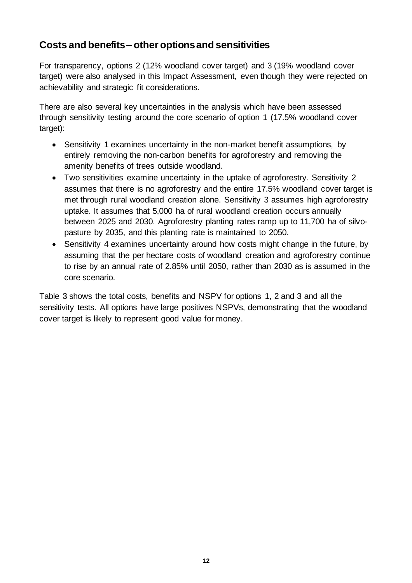### **Costs and benefits – other options and sensitivities**

For transparency, options 2 (12% woodland cover target) and 3 (19% woodland cover target) were also analysed in this Impact Assessment, even though they were rejected on achievability and strategic fit considerations.

There are also several key uncertainties in the analysis which have been assessed through sensitivity testing around the core scenario of option 1 (17.5% woodland cover target):

- Sensitivity 1 examines uncertainty in the non-market benefit assumptions, by entirely removing the non-carbon benefits for agroforestry and removing the amenity benefits of trees outside woodland.
- Two sensitivities examine uncertainty in the uptake of agroforestry. Sensitivity 2 assumes that there is no agroforestry and the entire 17.5% woodland cover target is met through rural woodland creation alone. Sensitivity 3 assumes high agroforestry uptake. It assumes that 5,000 ha of rural woodland creation occurs annually between 2025 and 2030. Agroforestry planting rates ramp up to 11,700 ha of silvopasture by 2035, and this planting rate is maintained to 2050.
- Sensitivity 4 examines uncertainty around how costs might change in the future, by assuming that the per hectare costs of woodland creation and agroforestry continue to rise by an annual rate of 2.85% until 2050, rather than 2030 as is assumed in the core scenario.

Table 3 shows the total costs, benefits and NSPV for options 1, 2 and 3 and all the sensitivity tests. All options have large positives NSPVs, demonstrating that the woodland cover target is likely to represent good value for money.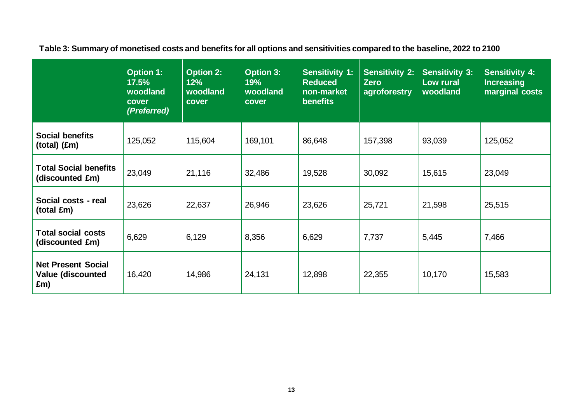**Table 3: Summary of monetised costs and benefits for all options and sensitivities compared to the baseline, 2022 to 2100**

|                                                              | <b>Option 1:</b><br>17.5%<br>woodland<br>cover<br>(Preferred) | <b>Option 2:</b><br>12%<br>woodland<br>cover | <b>Option 3:</b><br>19%<br>woodland<br>cover | <b>Sensitivity 1:</b><br><b>Reduced</b><br>non-market<br><b>benefits</b> | <b>Sensitivity 2:</b><br><b>Zero</b><br>agroforestry | <b>Sensitivity 3:</b><br>Low rural<br>woodland | <b>Sensitivity 4:</b><br><b>Increasing</b><br>marginal costs |
|--------------------------------------------------------------|---------------------------------------------------------------|----------------------------------------------|----------------------------------------------|--------------------------------------------------------------------------|------------------------------------------------------|------------------------------------------------|--------------------------------------------------------------|
| <b>Social benefits</b><br>$(total)$ $(f.m)$                  | 125,052                                                       | 115,604                                      | 169,101                                      | 86,648                                                                   | 157,398                                              | 93,039                                         | 125,052                                                      |
| <b>Total Social benefits</b><br>(discounted £m)              | 23,049                                                        | 21,116                                       | 32,486                                       | 19,528                                                                   | 30,092                                               | 15,615                                         | 23,049                                                       |
| Social costs - real<br>(total £m)                            | 23,626                                                        | 22,637                                       | 26,946                                       | 23,626                                                                   | 25,721                                               | 21,598                                         | 25,515                                                       |
| <b>Total social costs</b><br>(discounted £m)                 | 6,629                                                         | 6,129                                        | 8,356                                        | 6,629                                                                    | 7,737                                                | 5,445                                          | 7,466                                                        |
| <b>Net Present Social</b><br><b>Value (discounted</b><br>£m) | 16,420                                                        | 14,986                                       | 24,131                                       | 12,898                                                                   | 22,355                                               | 10,170                                         | 15,583                                                       |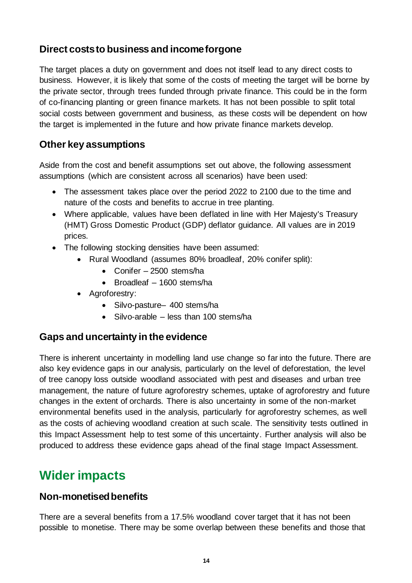### **Direct costs to business and income forgone**

The target places a duty on government and does not itself lead to any direct costs to business. However, it is likely that some of the costs of meeting the target will be borne by the private sector, through trees funded through private finance. This could be in the form of co-financing planting or green finance markets. It has not been possible to split total social costs between government and business, as these costs will be dependent on how the target is implemented in the future and how private finance markets develop.

### **Other key assumptions**

Aside from the cost and benefit assumptions set out above, the following assessment assumptions (which are consistent across all scenarios) have been used:

- The assessment takes place over the period 2022 to 2100 due to the time and nature of the costs and benefits to accrue in tree planting.
- Where applicable, values have been deflated in line with Her Majesty's Treasury (HMT) Gross Domestic Product (GDP) deflator guidance. All values are in 2019 prices.
- The following stocking densities have been assumed:
	- Rural Woodland (assumes 80% broadleaf, 20% conifer split):
		- Conifer 2500 stems/ha
		- Broadleaf 1600 stems/ha
	- Agroforestry:
		- Silvo-pasture– 400 stems/ha
		- Silvo-arable less than 100 stems/ha

### **Gaps and uncertainty in the evidence**

There is inherent uncertainty in modelling land use change so far into the future. There are also key evidence gaps in our analysis, particularly on the level of deforestation, the level of tree canopy loss outside woodland associated with pest and diseases and urban tree management, the nature of future agroforestry schemes, uptake of agroforestry and future changes in the extent of orchards. There is also uncertainty in some of the non-market environmental benefits used in the analysis, particularly for agroforestry schemes, as well as the costs of achieving woodland creation at such scale. The sensitivity tests outlined in this Impact Assessment help to test some of this uncertainty. Further analysis will also be produced to address these evidence gaps ahead of the final stage Impact Assessment.

## **Wider impacts**

### **Non-monetised benefits**

There are a several benefits from a 17.5% woodland cover target that it has not been possible to monetise. There may be some overlap between these benefits and those that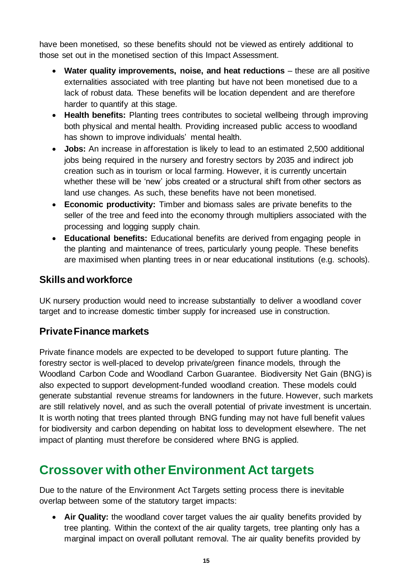have been monetised, so these benefits should not be viewed as entirely additional to those set out in the monetised section of this Impact Assessment.

- **Water quality improvements, noise, and heat reductions** these are all positive externalities associated with tree planting but have not been monetised due to a lack of robust data. These benefits will be location dependent and are therefore harder to quantify at this stage.
- **Health benefits:** Planting trees contributes to societal wellbeing through improving both physical and mental health. Providing increased public access to woodland has shown to improve individuals' mental health.
- **Jobs:** An increase in afforestation is likely to lead to an estimated 2,500 additional jobs being required in the nursery and forestry sectors by 2035 and indirect job creation such as in tourism or local farming. However, it is currently uncertain whether these will be 'new' jobs created or a structural shift from other sectors as land use changes. As such, these benefits have not been monetised.
- **Economic productivity:** Timber and biomass sales are private benefits to the seller of the tree and feed into the economy through multipliers associated with the processing and logging supply chain.
- **Educational benefits:** Educational benefits are derived from engaging people in the planting and maintenance of trees, particularly young people. These benefits are maximised when planting trees in or near educational institutions (e.g. schools).

### **Skills and workforce**

UK nursery production would need to increase substantially to deliver a woodland cover target and to increase domestic timber supply for increased use in construction.

## **Private Finance markets**

Private finance models are expected to be developed to support future planting. The forestry sector is well-placed to develop private/green finance models, through the Woodland Carbon Code and Woodland Carbon Guarantee. Biodiversity Net Gain (BNG) is also expected to support development-funded woodland creation. These models could generate substantial revenue streams for landowners in the future. However, such markets are still relatively novel, and as such the overall potential of private investment is uncertain. It is worth noting that trees planted through BNG funding may not have full benefit values for biodiversity and carbon depending on habitat loss to development elsewhere. The net impact of planting must therefore be considered where BNG is applied.

## **Crossover with other Environment Act targets**

Due to the nature of the Environment Act Targets setting process there is inevitable overlap between some of the statutory target impacts:

• **Air Quality:** the woodland cover target values the air quality benefits provided by tree planting. Within the context of the air quality targets, tree planting only has a marginal impact on overall pollutant removal. The air quality benefits provided by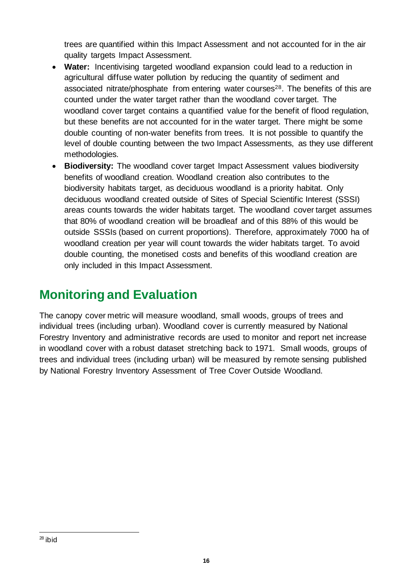trees are quantified within this Impact Assessment and not accounted for in the air quality targets Impact Assessment.

- **Water:** Incentivising targeted woodland expansion could lead to a reduction in agricultural diffuse water pollution by reducing the quantity of sediment and associated nitrate/phosphate from entering water courses<sup>28</sup>. The benefits of this are counted under the water target rather than the woodland cover target. The woodland cover target contains a quantified value for the benefit of flood regulation, but these benefits are not accounted for in the water target. There might be some double counting of non-water benefits from trees. It is not possible to quantify the level of double counting between the two Impact Assessments, as they use different methodologies.
- **Biodiversity:** The woodland cover target Impact Assessment values biodiversity benefits of woodland creation. Woodland creation also contributes to the biodiversity habitats target, as deciduous woodland is a priority habitat. Only deciduous woodland created outside of Sites of Special Scientific Interest (SSSI) areas counts towards the wider habitats target. The woodland cover target assumes that 80% of woodland creation will be broadleaf and of this 88% of this would be outside SSSIs (based on current proportions). Therefore, approximately 7000 ha of woodland creation per year will count towards the wider habitats target. To avoid double counting, the monetised costs and benefits of this woodland creation are only included in this Impact Assessment.

# **Monitoring and Evaluation**

The canopy cover metric will measure woodland, small woods, groups of trees and individual trees (including urban). Woodland cover is currently measured by National Forestry Inventory and administrative records are used to monitor and report net increase in woodland cover with a robust dataset stretching back to 1971. Small woods, groups of trees and individual trees (including urban) will be measured by remote sensing published by National Forestry Inventory Assessment of Tree Cover Outside Woodland.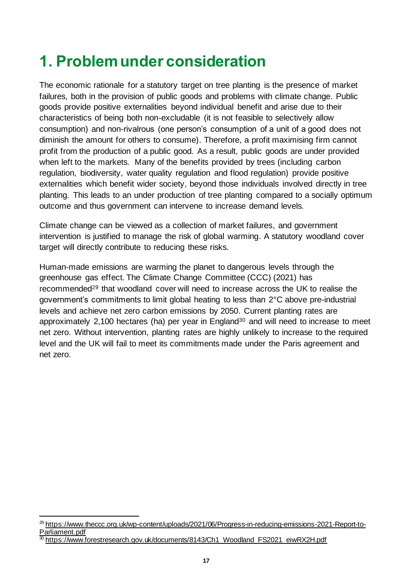# <span id="page-16-0"></span>**1. Problem under consideration**

The economic rationale for a statutory target on tree planting is the presence of market failures, both in the provision of public goods and problems with climate change. Public goods provide positive externalities beyond individual benefit and arise due to their characteristics of being both non-excludable (it is not feasible to selectively allow consumption) and non-rivalrous (one person's consumption of a unit of a good does not diminish the amount for others to consume). Therefore, a profit maximising firm cannot profit from the production of a public good. As a result, public goods are under provided when left to the markets. Many of the benefits provided by trees (including carbon regulation, biodiversity, water quality regulation and flood regulation) provide positive externalities which benefit wider society, beyond those individuals involved directly in tree planting. This leads to an under production of tree planting compared to a socially optimum outcome and thus government can intervene to increase demand levels.

Climate change can be viewed as a collection of market failures, and government intervention is justified to manage the risk of global warming. A statutory woodland cover target will directly contribute to reducing these risks.

Human-made emissions are warming the planet to dangerous levels through the greenhouse gas effect. The Climate Change Committee (CCC) (2021) has recommended<sup>29</sup> that woodland cover will need to increase across the UK to realise the government's commitments to limit global heating to less than 2°C above pre-industrial levels and achieve net zero carbon emissions by 2050. Current planting rates are approximately 2,100 hectares (ha) per year in England<sup>30</sup> and will need to increase to meet net zero. Without intervention, planting rates are highly unlikely to increase to the required level and the UK will fail to meet its commitments made under the Paris agreement and net zero.

<sup>&</sup>lt;sup>29</sup> [https://www.theccc.org.uk/wp-content/uploads/2021/06/Progress-in-reducing-emissions-2021-Report-to-](https://www.theccc.org.uk/wp-content/uploads/2021/06/Progress-in-reducing-emissions-2021-Report-to-Parliament.pdf)[Parliament.pdf](https://www.theccc.org.uk/wp-content/uploads/2021/06/Progress-in-reducing-emissions-2021-Report-to-Parliament.pdf)

[https://www.forestresearch.gov.uk/documents/8143/Ch1\\_Woodland\\_FS2021\\_eiwRX2H.pdf](https://www.forestresearch.gov.uk/documents/8143/Ch1_Woodland_FS2021_eiwRX2H.pdf)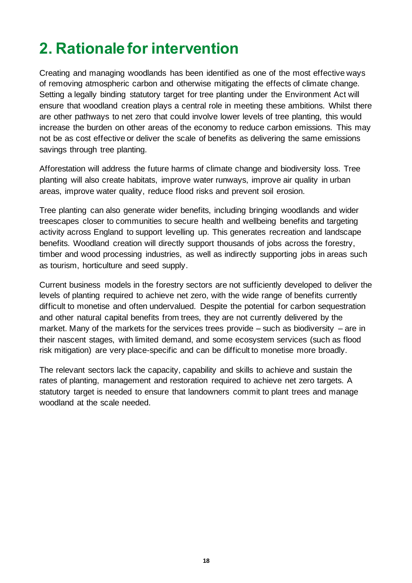# <span id="page-17-0"></span>**2. Rationale for intervention**

Creating and managing woodlands has been identified as one of the most effective ways of removing atmospheric carbon and otherwise mitigating the effects of climate change. Setting a legally binding statutory target for tree planting under the Environment Act will ensure that woodland creation plays a central role in meeting these ambitions. Whilst there are other pathways to net zero that could involve lower levels of tree planting, this would increase the burden on other areas of the economy to reduce carbon emissions. This may not be as cost effective or deliver the scale of benefits as delivering the same emissions savings through tree planting.

Afforestation will address the future harms of climate change and biodiversity loss. Tree planting will also create habitats, improve water runways, improve air quality in urban areas, improve water quality, reduce flood risks and prevent soil erosion.

Tree planting can also generate wider benefits, including bringing woodlands and wider treescapes closer to communities to secure health and wellbeing benefits and targeting activity across England to support levelling up. This generates recreation and landscape benefits. Woodland creation will directly support thousands of jobs across the forestry, timber and wood processing industries, as well as indirectly supporting jobs in areas such as tourism, horticulture and seed supply.

Current business models in the forestry sectors are not sufficiently developed to deliver the levels of planting required to achieve net zero, with the wide range of benefits currently difficult to monetise and often undervalued. Despite the potential for carbon sequestration and other natural capital benefits from trees, they are not currently delivered by the market. Many of the markets for the services trees provide – such as biodiversity – are in their nascent stages, with limited demand, and some ecosystem services (such as flood risk mitigation) are very place-specific and can be difficult to monetise more broadly.

The relevant sectors lack the capacity, capability and skills to achieve and sustain the rates of planting, management and restoration required to achieve net zero targets. A statutory target is needed to ensure that landowners commit to plant trees and manage woodland at the scale needed.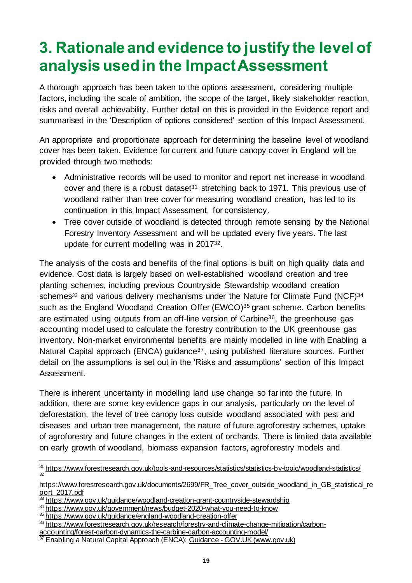# <span id="page-18-0"></span>**3. Rationale and evidence to justify the level of analysis used in the Impact Assessment**

A thorough approach has been taken to the options assessment, considering multiple factors, including the scale of ambition, the scope of the target, likely stakeholder reaction, risks and overall achievability. Further detail on this is provided in the Evidence report and summarised in the 'Description of options considered' section of this Impact Assessment.

An appropriate and proportionate approach for determining the baseline level of woodland cover has been taken. Evidence for current and future canopy cover in England will be provided through two methods:

- Administrative records will be used to monitor and report net increase in woodland cover and there is a robust dataset<sup>31</sup> stretching back to 1971. This previous use of woodland rather than tree cover for measuring woodland creation, has led to its continuation in this Impact Assessment, for consistency.
- Tree cover outside of woodland is detected through remote sensing by the National Forestry Inventory Assessment and will be updated every five years. The last update for current modelling was in 201732.

The analysis of the costs and benefits of the final options is built on high quality data and evidence. Cost data is largely based on well-established woodland creation and tree planting schemes, including previous Countryside Stewardship woodland creation schemes<sup>33</sup> and various delivery mechanisms under the Nature for Climate Fund (NCF)<sup>34</sup> such as the England Woodland Creation Offer (EWCO)<sup>35</sup> grant scheme. Carbon benefits are estimated using outputs from an off-line version of Carbine<sup>36</sup>, the greenhouse gas accounting model used to calculate the forestry contribution to the UK greenhouse gas inventory. Non-market environmental benefits are mainly modelled in line with Enabling a Natural Capital approach (ENCA) guidance<sup>37</sup>, using published literature sources. Further detail on the assumptions is set out in the 'Risks and assumptions' section of this Impact Assessment.

There is inherent uncertainty in modelling land use change so far into the future. In addition, there are some key evidence gaps in our analysis, particularly on the level of deforestation, the level of tree canopy loss outside woodland associated with pest and diseases and urban tree management, the nature of future agroforestry schemes, uptake of agroforestry and future changes in the extent of orchards. There is limited data available on early growth of woodland, biomass expansion factors, agroforestry models and

<sup>&</sup>lt;sup>31</sup> <https://www.forestresearch.gov.uk/tools-and-resources/statistics/statistics-by-topic/woodland-statistics/> 32

[https://www.forestresearch.gov.uk/documents/2699/FR\\_Tree\\_cover\\_outside\\_woodland\\_in\\_GB\\_statistical\\_re](https://www.forestresearch.gov.uk/documents/2699/FR_Tree_cover_outside_woodland_in_GB_statistical_report_2017.pdf) [port\\_2017.pdf](https://www.forestresearch.gov.uk/documents/2699/FR_Tree_cover_outside_woodland_in_GB_statistical_report_2017.pdf)

<sup>&</sup>lt;sup>33</sup> <https://www.gov.uk/guidance/woodland-creation-grant-countryside-stewardship>

<sup>34</sup> <https://www.gov.uk/government/news/budget-2020-what-you-need-to-know>

<sup>35</sup> <https://www.gov.uk/guidance/england-woodland-creation-offer>

<sup>36</sup> [https://www.forestresearch.gov.uk/research/forestry-and-climate-change-mitigation/carbon-](https://www.forestresearch.gov.uk/research/forestry-and-climate-change-mitigation/carbon-accounting/forest-carbon-dynamics-the-carbine-carbon-accounting-model/)

[accounting/forest-carbon-dynamics-the-carbine-carbon-accounting-model/](https://www.forestresearch.gov.uk/research/forestry-and-climate-change-mitigation/carbon-accounting/forest-carbon-dynamics-the-carbine-carbon-accounting-model/)

<sup>&</sup>lt;sup>37</sup> [Enabling a Natural Capital Approach \(ENCA\): Guidance -](https://www.gov.uk/government/publications/enabling-a-natural-capital-approach-enca-guidance) GOV.UK (www.gov.uk)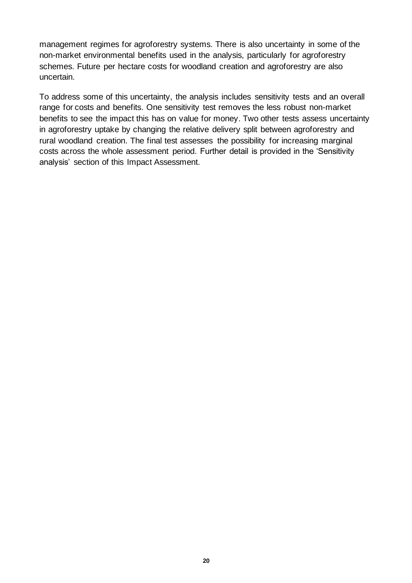management regimes for agroforestry systems. There is also uncertainty in some of the non-market environmental benefits used in the analysis, particularly for agroforestry schemes. Future per hectare costs for woodland creation and agroforestry are also uncertain.

To address some of this uncertainty, the analysis includes sensitivity tests and an overall range for costs and benefits. One sensitivity test removes the less robust non-market benefits to see the impact this has on value for money. Two other tests assess uncertainty in agroforestry uptake by changing the relative delivery split between agroforestry and rural woodland creation. The final test assesses the possibility for increasing marginal costs across the whole assessment period. Further detail is provided in the 'Sensitivity analysis' section of this Impact Assessment.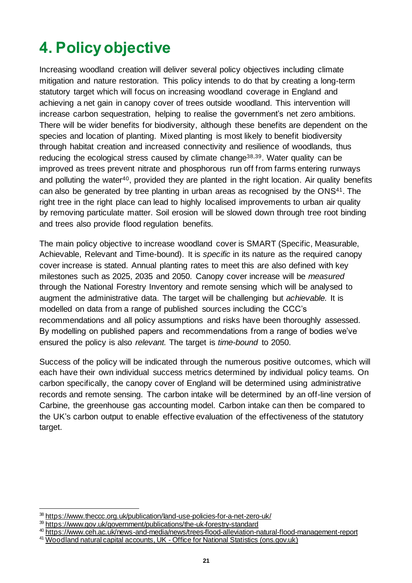# <span id="page-20-0"></span>**4. Policy objective**

Increasing woodland creation will deliver several policy objectives including climate mitigation and nature restoration. This policy intends to do that by creating a long-term statutory target which will focus on increasing woodland coverage in England and achieving a net gain in canopy cover of trees outside woodland. This intervention will increase carbon sequestration, helping to realise the government's net zero ambitions. There will be wider benefits for biodiversity, although these benefits are dependent on the species and location of planting. Mixed planting is most likely to benefit biodiversity through habitat creation and increased connectivity and resilience of woodlands, thus reducing the ecological stress caused by climate change38,39. Water quality can be improved as trees prevent nitrate and phosphorous run off from farms entering runways and polluting the water<sup>40</sup>, provided they are planted in the right location. Air quality benefits can also be generated by tree planting in urban areas as recognised by the ONS41. The right tree in the right place can lead to highly localised improvements to urban air quality by removing particulate matter. Soil erosion will be slowed down through tree root binding and trees also provide flood regulation benefits.

The main policy objective to increase woodland cover is SMART (Specific, Measurable, Achievable, Relevant and Time-bound). It is *specific* in its nature as the required canopy cover increase is stated. Annual planting rates to meet this are also defined with key milestones such as 2025, 2035 and 2050. Canopy cover increase will be *measured* through the National Forestry Inventory and remote sensing which will be analysed to augment the administrative data. The target will be challenging but *achievable.* It is modelled on data from a range of published sources including the CCC's recommendations and all policy assumptions and risks have been thoroughly assessed. By modelling on published papers and recommendations from a range of bodies we've ensured the policy is also *relevant.* The target is *time-bound* to 2050.

Success of the policy will be indicated through the numerous positive outcomes, which will each have their own individual success metrics determined by individual policy teams. On carbon specifically, the canopy cover of England will be determined using administrative records and remote sensing. The carbon intake will be determined by an off-line version of Carbine, the greenhouse gas accounting model. Carbon intake can then be compared to the UK's carbon output to enable effective evaluation of the effectiveness of the statutory target.

<sup>38</sup> <https://www.theccc.org.uk/publication/land-use-policies-for-a-net-zero-uk/>

<sup>39</sup> <https://www.gov.uk/government/publications/the-uk-forestry-standard>

<sup>40</sup> <https://www.ceh.ac.uk/news-and-media/news/trees-flood-alleviation-natural-flood-management-report>

<sup>41</sup> Woodland natural capital accounts, UK - Office for National Statistics (ons.gov.uk)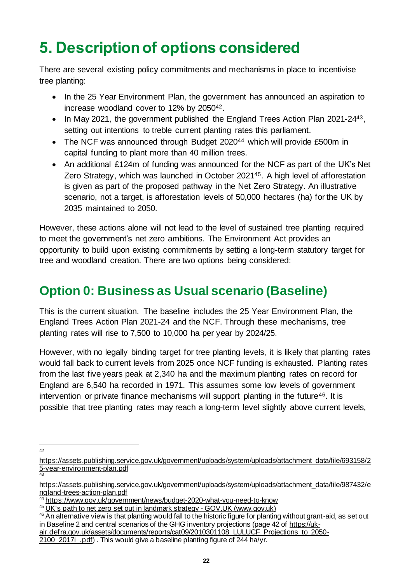# <span id="page-21-0"></span>**5. Description of options considered**

There are several existing policy commitments and mechanisms in place to incentivise tree planting:

- In the 25 Year Environment Plan, the government has announced an aspiration to increase woodland cover to 12% by 205042.
- In May 2021, the government published the England Trees Action Plan 2021-24<sup>43</sup>, setting out intentions to treble current planting rates this parliament.
- The NCF was announced through Budget 2020<sup>44</sup> which will provide £500m in capital funding to plant more than 40 million trees.
- An additional £124m of funding was announced for the NCF as part of the UK's Net Zero Strategy, which was launched in October 202145. A high level of afforestation is given as part of the proposed pathway in the Net Zero Strategy. An illustrative scenario, not a target, is afforestation levels of 50,000 hectares (ha) for the UK by 2035 maintained to 2050.

However, these actions alone will not lead to the level of sustained tree planting required to meet the government's net zero ambitions. The Environment Act provides an opportunity to build upon existing commitments by setting a long-term statutory target for tree and woodland creation. There are two options being considered:

# **Option 0: Business as Usual scenario (Baseline)**

This is the current situation. The baseline includes the 25 Year Environment Plan, the England Trees Action Plan 2021-24 and the NCF. Through these mechanisms, tree planting rates will rise to 7,500 to 10,000 ha per year by 2024/25.

However, with no legally binding target for tree planting levels, it is likely that planting rates would fall back to current levels from 2025 once NCF funding is exhausted. Planting rates from the last five years peak at 2,340 ha and the maximum planting rates on record for England are 6,540 ha recorded in 1971. This assumes some low levels of government intervention or private finance mechanisms will support planting in the future<sup>46</sup>. It is possible that tree planting rates may reach a long-term level slightly above current levels,

 $42$ 

[https://assets.publishing.service.gov.uk/government/uploads/system/uploads/attachment\\_data/file/693158/2](https://assets.publishing.service.gov.uk/government/uploads/system/uploads/attachment_data/file/693158/25-year-environment-plan.pdf) [5-year-environment-plan.pdf](https://assets.publishing.service.gov.uk/government/uploads/system/uploads/attachment_data/file/693158/25-year-environment-plan.pdf) 43

[https://assets.publishing.service.gov.uk/government/uploads/system/uploads/attachment\\_data/file/987432/e](https://assets.publishing.service.gov.uk/government/uploads/system/uploads/attachment_data/file/987432/england-trees-action-plan.pdf) [ngland-trees-action-plan.pdf](https://assets.publishing.service.gov.uk/government/uploads/system/uploads/attachment_data/file/987432/england-trees-action-plan.pdf)

<sup>44</sup> <https://www.gov.uk/government/news/budget-2020-what-you-need-to-know>

<sup>&</sup>lt;sup>45</sup> [UK's path to net zero set out in landmark strategy -](https://www.gov.uk/government/news/uks-path-to-net-zero-set-out-in-landmark-strategy) GOV.UK (www.gov.uk)

<sup>&</sup>lt;sup>46</sup> An alternative view is that planting would fall to the historic figure for planting without grant-aid, as set out in Baseline 2 and central scenarios of the GHG inventory projections (page 42 o[f https://uk-](https://uk-air.defra.gov.uk/assets/documents/reports/cat09/2010301108_LULUCF_Projections_to_2050-2100_2017i_.pdf)

[air.defra.gov.uk/assets/documents/reports/cat09/2010301108\\_LULUCF\\_Projections\\_to\\_2050-](https://uk-air.defra.gov.uk/assets/documents/reports/cat09/2010301108_LULUCF_Projections_to_2050-2100_2017i_.pdf)

<sup>2100 2017</sup>i .pdf). This would give a baseline planting figure of 244 ha/yr.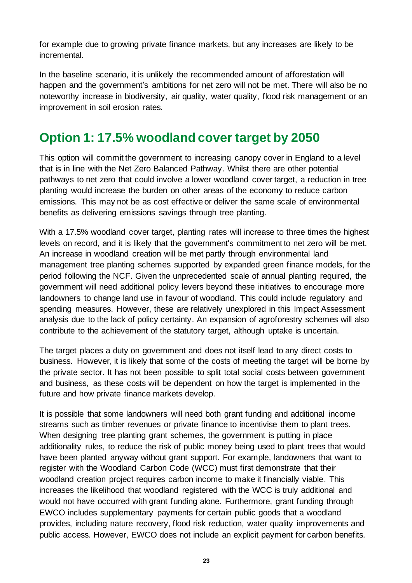for example due to growing private finance markets, but any increases are likely to be incremental.

In the baseline scenario, it is unlikely the recommended amount of afforestation will happen and the government's ambitions for net zero will not be met. There will also be no noteworthy increase in biodiversity, air quality, water quality, flood risk management or an improvement in soil erosion rates.

## **Option 1: 17.5% woodland cover target by 2050**

This option will commit the government to increasing canopy cover in England to a level that is in line with the Net Zero Balanced Pathway. Whilst there are other potential pathways to net zero that could involve a lower woodland cover target, a reduction in tree planting would increase the burden on other areas of the economy to reduce carbon emissions. This may not be as cost effective or deliver the same scale of environmental benefits as delivering emissions savings through tree planting.

With a 17.5% woodland cover target, planting rates will increase to three times the highest levels on record, and it is likely that the government's commitment to net zero will be met. An increase in woodland creation will be met partly through environmental land management tree planting schemes supported by expanded green finance models, for the period following the NCF. Given the unprecedented scale of annual planting required, the government will need additional policy levers beyond these initiatives to encourage more landowners to change land use in favour of woodland. This could include regulatory and spending measures. However, these are relatively unexplored in this Impact Assessment analysis due to the lack of policy certainty. An expansion of agroforestry schemes will also contribute to the achievement of the statutory target, although uptake is uncertain.

The target places a duty on government and does not itself lead to any direct costs to business. However, it is likely that some of the costs of meeting the target will be borne by the private sector. It has not been possible to split total social costs between government and business, as these costs will be dependent on how the target is implemented in the future and how private finance markets develop.

It is possible that some landowners will need both grant funding and additional income streams such as timber revenues or private finance to incentivise them to plant trees. When designing tree planting grant schemes, the government is putting in place additionality rules, to reduce the risk of public money being used to plant trees that would have been planted anyway without grant support. For example, landowners that want to register with the Woodland Carbon Code (WCC) must first demonstrate that their woodland creation project requires carbon income to make it financially viable. This increases the likelihood that woodland registered with the WCC is truly additional and would not have occurred with grant funding alone. Furthermore, grant funding through EWCO includes supplementary payments for certain public goods that a woodland provides, including nature recovery, flood risk reduction, water quality improvements and public access. However, EWCO does not include an explicit payment for carbon benefits.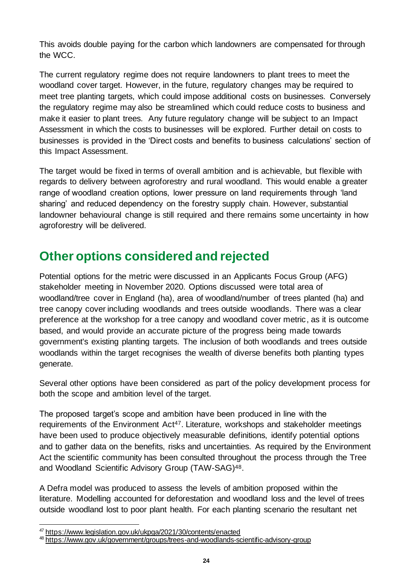This avoids double paying for the carbon which landowners are compensated for through the WCC.

The current regulatory regime does not require landowners to plant trees to meet the woodland cover target. However, in the future, regulatory changes may be required to meet tree planting targets, which could impose additional costs on businesses. Conversely the regulatory regime may also be streamlined which could reduce costs to business and make it easier to plant trees. Any future regulatory change will be subject to an Impact Assessment in which the costs to businesses will be explored. Further detail on costs to businesses is provided in the 'Direct costs and benefits to business calculations' section of this Impact Assessment.

The target would be fixed in terms of overall ambition and is achievable, but flexible with regards to delivery between agroforestry and rural woodland. This would enable a greater range of woodland creation options, lower pressure on land requirements through 'land sharing' and reduced dependency on the forestry supply chain. However, substantial landowner behavioural change is still required and there remains some uncertainty in how agroforestry will be delivered.

## **Other options considered and rejected**

Potential options for the metric were discussed in an Applicants Focus Group (AFG) stakeholder meeting in November 2020. Options discussed were total area of woodland/tree cover in England (ha), area of woodland/number of trees planted (ha) and tree canopy cover including woodlands and trees outside woodlands. There was a clear preference at the workshop for a tree canopy and woodland cover metric, as it is outcome based, and would provide an accurate picture of the progress being made towards government's existing planting targets. The inclusion of both woodlands and trees outside woodlands within the target recognises the wealth of diverse benefits both planting types generate.

Several other options have been considered as part of the policy development process for both the scope and ambition level of the target.

The proposed target's scope and ambition have been produced in line with the requirements of the Environment Act<sup>47</sup>. Literature, workshops and stakeholder meetings have been used to produce objectively measurable definitions, identify potential options and to gather data on the benefits, risks and uncertainties. As required by the Environment Act the scientific community has been consulted throughout the process through the Tree and Woodland Scientific Advisory Group (TAW-SAG)48.

A Defra model was produced to assess the levels of ambition proposed within the literature. Modelling accounted for deforestation and woodland loss and the level of trees outside woodland lost to poor plant health. For each planting scenario the resultant net

<sup>&</sup>lt;sup>47</sup> <https://www.legislation.gov.uk/ukpga/2021/30/contents/enacted>

<sup>48</sup> <https://www.gov.uk/government/groups/trees-and-woodlands-scientific-advisory-group>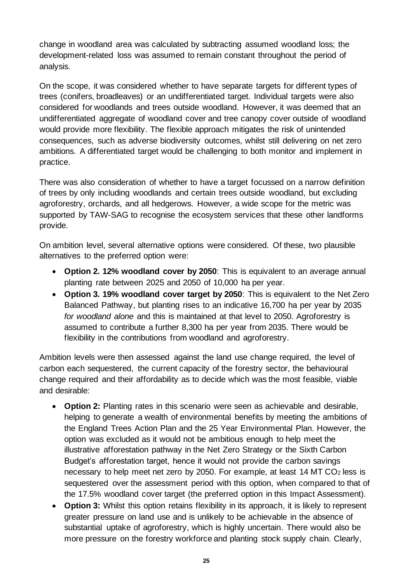change in woodland area was calculated by subtracting assumed woodland loss; the development-related loss was assumed to remain constant throughout the period of analysis.

On the scope, it was considered whether to have separate targets for different types of trees (conifers, broadleaves) or an undifferentiated target. Individual targets were also considered for woodlands and trees outside woodland. However, it was deemed that an undifferentiated aggregate of woodland cover and tree canopy cover outside of woodland would provide more flexibility. The flexible approach mitigates the risk of unintended consequences, such as adverse biodiversity outcomes, whilst still delivering on net zero ambitions. A differentiated target would be challenging to both monitor and implement in practice.

There was also consideration of whether to have a target focussed on a narrow definition of trees by only including woodlands and certain trees outside woodland, but excluding agroforestry, orchards, and all hedgerows. However, a wide scope for the metric was supported by TAW-SAG to recognise the ecosystem services that these other landforms provide.

On ambition level, several alternative options were considered. Of these, two plausible alternatives to the preferred option were:

- **Option 2. 12% woodland cover by 2050**: This is equivalent to an average annual planting rate between 2025 and 2050 of 10,000 ha per year.
- **Option 3. 19% woodland cover target by 2050**: This is equivalent to the Net Zero Balanced Pathway, but planting rises to an indicative 16,700 ha per year by 2035 *for woodland alone* and this is maintained at that level to 2050. Agroforestry is assumed to contribute a further 8,300 ha per year from 2035. There would be flexibility in the contributions from woodland and agroforestry.

Ambition levels were then assessed against the land use change required, the level of carbon each sequestered, the current capacity of the forestry sector, the behavioural change required and their affordability as to decide which was the most feasible, viable and desirable:

- **Option 2:** Planting rates in this scenario were seen as achievable and desirable, helping to generate a wealth of environmental benefits by meeting the ambitions of the England Trees Action Plan and the 25 Year Environmental Plan. However, the option was excluded as it would not be ambitious enough to help meet the illustrative afforestation pathway in the Net Zero Strategy or the Sixth Carbon Budget's afforestation target, hence it would not provide the carbon savings necessary to help meet net zero by 2050. For example, at least 14 MT CO<sup>2</sup> less is sequestered over the assessment period with this option, when compared to that of the 17.5% woodland cover target (the preferred option in this Impact Assessment).
- **Option 3:** Whilst this option retains flexibility in its approach, it is likely to represent greater pressure on land use and is unlikely to be achievable in the absence of substantial uptake of agroforestry, which is highly uncertain. There would also be more pressure on the forestry workforce and planting stock supply chain. Clearly,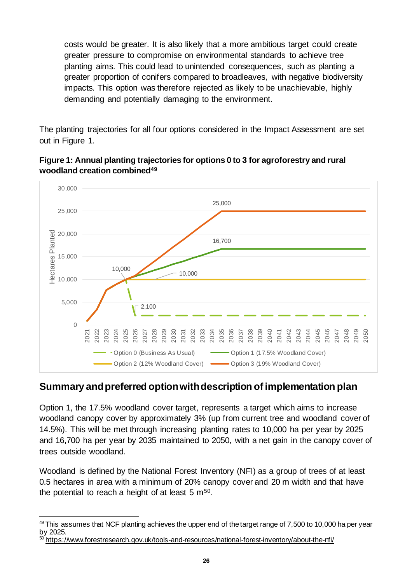costs would be greater. It is also likely that a more ambitious target could create greater pressure to compromise on environmental standards to achieve tree planting aims. This could lead to unintended consequences, such as planting a greater proportion of conifers compared to broadleaves, with negative biodiversity impacts. This option was therefore rejected as likely to be unachievable, highly demanding and potentially damaging to the environment.

The planting trajectories for all four options considered in the Impact Assessment are set out in Figure 1.



**Figure 1: Annual planting trajectories for options 0 to 3 for agroforestry and rural woodland creation combined<sup>49</sup>**

## **Summary and preferred option with description of implementation plan**

Option 1, the 17.5% woodland cover target, represents a target which aims to increase woodland canopy cover by approximately 3% (up from current tree and woodland cover of 14.5%). This will be met through increasing planting rates to 10,000 ha per year by 2025 and 16,700 ha per year by 2035 maintained to 2050, with a net gain in the canopy cover of trees outside woodland.

Woodland is defined by the National Forest Inventory (NFI) as a group of trees of at least 0.5 hectares in area with a minimum of 20% canopy cover and 20 m width and that have the potential to reach a height of at least  $5 \text{ m}^{50}$ .

 $49$  This assumes that NCF planting achieves the upper end of the target range of 7,500 to 10,000 ha per year by 2025.

<sup>50</sup> <https://www.forestresearch.gov.uk/tools-and-resources/national-forest-inventory/about-the-nfi/>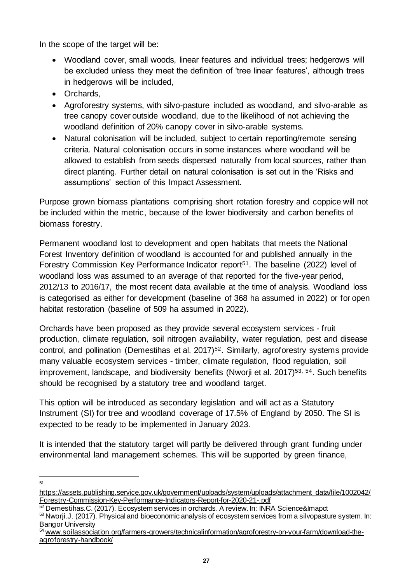In the scope of the target will be:

- Woodland cover, small woods, linear features and individual trees; hedgerows will be excluded unless they meet the definition of 'tree linear features', although trees in hedgerows will be included,
- Orchards,
- Agroforestry systems, with silvo-pasture included as woodland, and silvo-arable as tree canopy cover outside woodland, due to the likelihood of not achieving the woodland definition of 20% canopy cover in silvo-arable systems.
- Natural colonisation will be included, subject to certain reporting/remote sensing criteria. Natural colonisation occurs in some instances where woodland will be allowed to establish from seeds dispersed naturally from local sources, rather than direct planting. Further detail on natural colonisation is set out in the 'Risks and assumptions' section of this Impact Assessment.

Purpose grown biomass plantations comprising short rotation forestry and coppice will not be included within the metric, because of the lower biodiversity and carbon benefits of biomass forestry.

Permanent woodland lost to development and open habitats that meets the National Forest Inventory definition of woodland is accounted for and published annually in the Forestry Commission Key Performance Indicator report<sup>51</sup>. The baseline (2022) level of woodland loss was assumed to an average of that reported for the five-year period, 2012/13 to 2016/17, the most recent data available at the time of analysis. Woodland loss is categorised as either for development (baseline of 368 ha assumed in 2022) or for open habitat restoration (baseline of 509 ha assumed in 2022).

Orchards have been proposed as they provide several ecosystem services - fruit production, climate regulation, soil nitrogen availability, water regulation, pest and disease control, and pollination (Demestihas et al. 2017)<sup>52</sup>. Similarly, agroforestry systems provide many valuable ecosystem services - timber, climate regulation, flood regulation, soil improvement, landscape, and biodiversity benefits (Nworji et al. 2017) 53, 54. Such benefits should be recognised by a statutory tree and woodland target.

This option will be introduced as secondary legislation and will act as a Statutory Instrument (SI) for tree and woodland coverage of 17.5% of England by 2050. The SI is expected to be ready to be implemented in January 2023.

It is intended that the statutory target will partly be delivered through grant funding under environmental land management schemes. This will be supported by green finance,

51

[https://assets.publishing.service.gov.uk/government/uploads/system/uploads/attachment\\_data/file/1002042/](https://assets.publishing.service.gov.uk/government/uploads/system/uploads/attachment_data/file/1002042/Forestry-Commission-Key-Performance-Indicators-Report-for-2020-21-.pdf) [Forestry-Commission-Key-Performance-Indicators-Report-for-2020-21-.pdf](https://assets.publishing.service.gov.uk/government/uploads/system/uploads/attachment_data/file/1002042/Forestry-Commission-Key-Performance-Indicators-Report-for-2020-21-.pdf)

 $52$  Demestihas. C. (2017). Ecosystem services in orchards. A review. In: INRA Science&Imapct

<sup>53</sup> Nworji.J. (2017). Physical and bioeconomic analysis of ecosystem services from a silvopasture system. In: Bangor University

<sup>54</sup> www.soilassociation.org/farmers-growers/technicalinformation/agroforestry-on-your-farm/download-theagroforestry-handbook/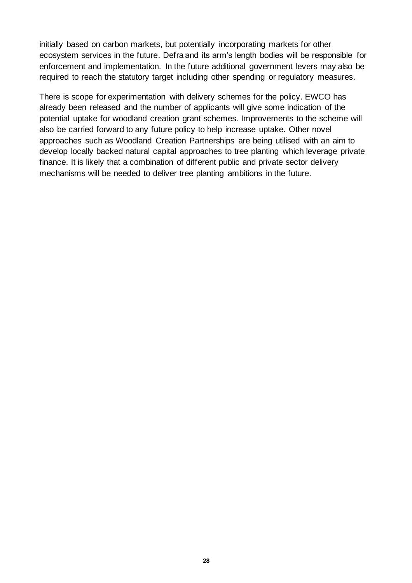initially based on carbon markets, but potentially incorporating markets for other ecosystem services in the future. Defra and its arm's length bodies will be responsible for enforcement and implementation. In the future additional government levers may also be required to reach the statutory target including other spending or regulatory measures.

There is scope for experimentation with delivery schemes for the policy. EWCO has already been released and the number of applicants will give some indication of the potential uptake for woodland creation grant schemes. Improvements to the scheme will also be carried forward to any future policy to help increase uptake. Other novel approaches such as Woodland Creation Partnerships are being utilised with an aim to develop locally backed natural capital approaches to tree planting which leverage private finance. It is likely that a combination of different public and private sector delivery mechanisms will be needed to deliver tree planting ambitions in the future.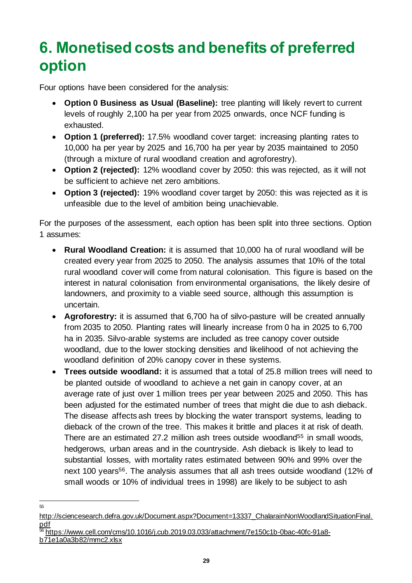# <span id="page-28-0"></span>**6. Monetised costs and benefits of preferred option**

Four options have been considered for the analysis:

- **Option 0 Business as Usual (Baseline):** tree planting will likely revert to current levels of roughly 2,100 ha per year from 2025 onwards, once NCF funding is exhausted.
- **Option 1 (preferred):** 17.5% woodland cover target: increasing planting rates to 10,000 ha per year by 2025 and 16,700 ha per year by 2035 maintained to 2050 (through a mixture of rural woodland creation and agroforestry).
- **Option 2 (rejected):** 12% woodland cover by 2050: this was rejected, as it will not be sufficient to achieve net zero ambitions.
- **Option 3 (rejected):** 19% woodland cover target by 2050: this was rejected as it is unfeasible due to the level of ambition being unachievable.

For the purposes of the assessment, each option has been split into three sections. Option 1 assumes:

- **Rural Woodland Creation:** it is assumed that 10,000 ha of rural woodland will be created every year from 2025 to 2050. The analysis assumes that 10% of the total rural woodland cover will come from natural colonisation. This figure is based on the interest in natural colonisation from environmental organisations, the likely desire of landowners, and proximity to a viable seed source, although this assumption is uncertain.
- **Agroforestry:** it is assumed that 6,700 ha of silvo-pasture will be created annually from 2035 to 2050. Planting rates will linearly increase from 0 ha in 2025 to 6,700 ha in 2035. Silvo-arable systems are included as tree canopy cover outside woodland, due to the lower stocking densities and likelihood of not achieving the woodland definition of 20% canopy cover in these systems.
- **Trees outside woodland:** it is assumed that a total of 25.8 million trees will need to be planted outside of woodland to achieve a net gain in canopy cover, at an average rate of just over 1 million trees per year between 2025 and 2050. This has been adjusted for the estimated number of trees that might die due to ash dieback. The disease affects ash trees by blocking the water transport systems, leading to dieback of the crown of the tree. This makes it brittle and places it at risk of death. There are an estimated 27.2 million ash trees outside woodland<sup>55</sup> in small woods. hedgerows, urban areas and in the countryside. Ash dieback is likely to lead to substantial losses, with mortality rates estimated between 90% and 99% over the next 100 years<sup>56</sup>. The analysis assumes that all ash trees outside woodland (12% of small woods or 10% of individual trees in 1998) are likely to be subject to ash

<sup>55</sup>

[http://sciencesearch.defra.gov.uk/Document.aspx?Document=13337\\_ChalarainNonWoodlandSituationFinal.](http://sciencesearch.defra.gov.uk/Document.aspx?Document=13337_ChalarainNonWoodlandSituationFinal.pdf) [pdf](http://sciencesearch.defra.gov.uk/Document.aspx?Document=13337_ChalarainNonWoodlandSituationFinal.pdf)

 $^{56}$  [https://www.cell.com/cms/10.1016/j.cub.2019.03.033/attachment/7e150c1b-0bac-40fc-91a8](https://www.cell.com/cms/10.1016/j.cub.2019.03.033/attachment/7e150c1b-0bac-40fc-91a8-b71e1a0a3b82/mmc2.xlsx) [b71e1a0a3b82/mmc2.xlsx](https://www.cell.com/cms/10.1016/j.cub.2019.03.033/attachment/7e150c1b-0bac-40fc-91a8-b71e1a0a3b82/mmc2.xlsx)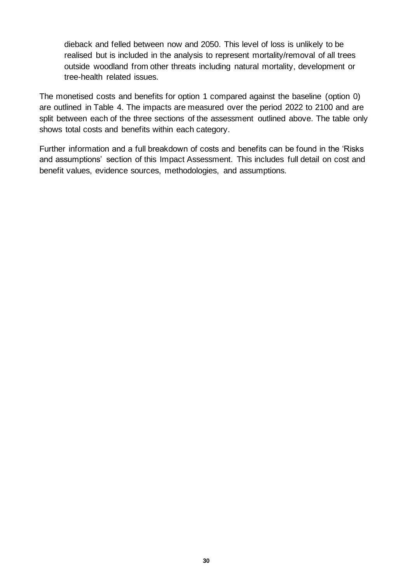dieback and felled between now and 2050. This level of loss is unlikely to be realised but is included in the analysis to represent mortality/removal of all trees outside woodland from other threats including natural mortality, development or tree-health related issues.

The monetised costs and benefits for option 1 compared against the baseline (option 0) are outlined in Table 4. The impacts are measured over the period 2022 to 2100 and are split between each of the three sections of the assessment outlined above. The table only shows total costs and benefits within each category.

Further information and a full breakdown of costs and benefits can be found in the 'Risks and assumptions' section of this Impact Assessment. This includes full detail on cost and benefit values, evidence sources, methodologies, and assumptions.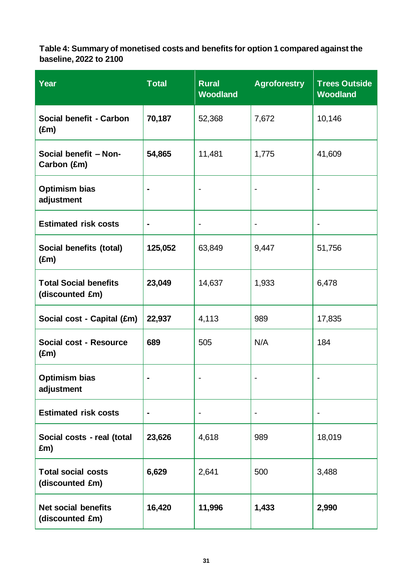**Table 4: Summary of monetised costs and benefits for option 1 compared against the baseline, 2022 to 2100**

| <b>Year</b>                                     | <b>Total</b>   | <b>Rural</b><br><b>Woodland</b> | <b>Agroforestry</b>          | <b>Trees Outside</b><br><b>Woodland</b> |  |
|-------------------------------------------------|----------------|---------------------------------|------------------------------|-----------------------------------------|--|
| Social benefit - Carbon<br>$(\text{Em})$        | 70,187         | 52,368                          | 7,672                        | 10,146                                  |  |
| Social benefit - Non-<br>Carbon (£m)            | 54,865         | 11,481                          | 1,775                        | 41,609                                  |  |
| <b>Optimism bias</b><br>adjustment              | ÷              |                                 |                              |                                         |  |
| <b>Estimated risk costs</b>                     | $\blacksquare$ |                                 | $\qquad \qquad \blacksquare$ |                                         |  |
| Social benefits (total)<br>$(\text{Em})$        | 125,052        | 63,849                          | 9,447                        | 51,756                                  |  |
| <b>Total Social benefits</b><br>(discounted £m) | 23,049         | 14,637                          | 1,933                        | 6,478                                   |  |
| Social cost - Capital (£m)                      | 22,937         | 4,113                           | 989                          | 17,835                                  |  |
| Social cost - Resource<br>$(\text{Em})$         | 689            | 505                             | N/A                          | 184                                     |  |
| <b>Optimism bias</b><br>adjustment              |                |                                 |                              |                                         |  |
| <b>Estimated risk costs</b>                     | $\blacksquare$ |                                 |                              |                                         |  |
| Social costs - real (total<br>£m)               | 23,626         | 4,618                           | 989                          | 18,019                                  |  |
| <b>Total social costs</b><br>(discounted £m)    | 6,629          | 2,641                           | 500                          | 3,488                                   |  |
| <b>Net social benefits</b><br>(discounted £m)   | 16,420         | 11,996                          | 1,433                        | 2,990                                   |  |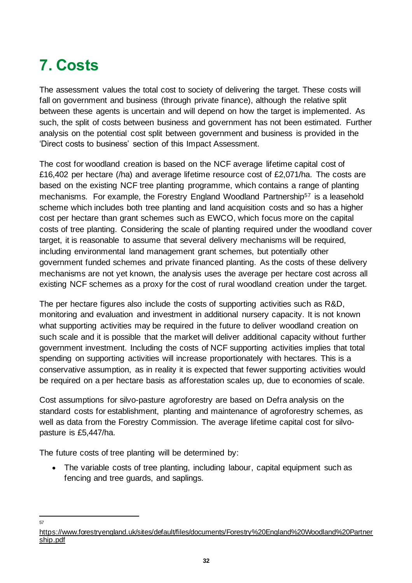# <span id="page-31-0"></span>**7. Costs**

The assessment values the total cost to society of delivering the target. These costs will fall on government and business (through private finance), although the relative split between these agents is uncertain and will depend on how the target is implemented. As such, the split of costs between business and government has not been estimated. Further analysis on the potential cost split between government and business is provided in the 'Direct costs to business' section of this Impact Assessment.

The cost for woodland creation is based on the NCF average lifetime capital cost of £16,402 per hectare (/ha) and average lifetime resource cost of £2,071/ha. The costs are based on the existing NCF tree planting programme, which contains a range of planting mechanisms. For example, the Forestry England Woodland Partnership<sup>57</sup> is a leasehold scheme which includes both tree planting and land acquisition costs and so has a higher cost per hectare than grant schemes such as EWCO, which focus more on the capital costs of tree planting. Considering the scale of planting required under the woodland cover target, it is reasonable to assume that several delivery mechanisms will be required, including environmental land management grant schemes, but potentially other government funded schemes and private financed planting. As the costs of these delivery mechanisms are not yet known, the analysis uses the average per hectare cost across all existing NCF schemes as a proxy for the cost of rural woodland creation under the target.

The per hectare figures also include the costs of supporting activities such as R&D, monitoring and evaluation and investment in additional nursery capacity. It is not known what supporting activities may be required in the future to deliver woodland creation on such scale and it is possible that the market will deliver additional capacity without further government investment. Including the costs of NCF supporting activities implies that total spending on supporting activities will increase proportionately with hectares. This is a conservative assumption, as in reality it is expected that fewer supporting activities would be required on a per hectare basis as afforestation scales up, due to economies of scale.

Cost assumptions for silvo-pasture agroforestry are based on Defra analysis on the standard costs for establishment, planting and maintenance of agroforestry schemes, as well as data from the Forestry Commission. The average lifetime capital cost for silvopasture is £5,447/ha.

The future costs of tree planting will be determined by:

• The variable costs of tree planting, including labour, capital equipment such as fencing and tree guards, and saplings.

57

[https://www.forestryengland.uk/sites/default/files/documents/Forestry%20England%20Woodland%20Partner](https://www.forestryengland.uk/sites/default/files/documents/Forestry%20England%20Woodland%20Partnership.pdf) [ship.pdf](https://www.forestryengland.uk/sites/default/files/documents/Forestry%20England%20Woodland%20Partnership.pdf)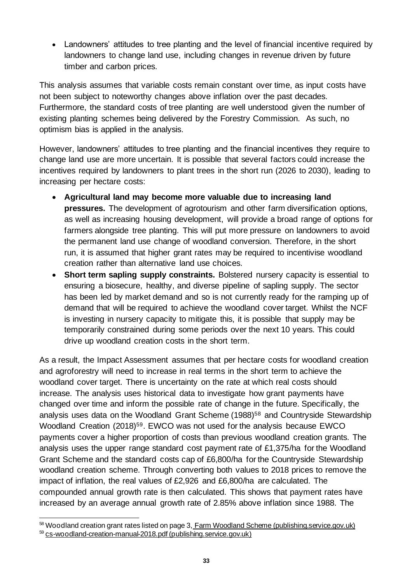• Landowners' attitudes to tree planting and the level of financial incentive required by landowners to change land use, including changes in revenue driven by future timber and carbon prices.

This analysis assumes that variable costs remain constant over time, as input costs have not been subject to noteworthy changes above inflation over the past decades. Furthermore, the standard costs of tree planting are well understood given the number of existing planting schemes being delivered by the Forestry Commission. As such, no optimism bias is applied in the analysis.

However, landowners' attitudes to tree planting and the financial incentives they require to change land use are more uncertain. It is possible that several factors could increase the incentives required by landowners to plant trees in the short run (2026 to 2030), leading to increasing per hectare costs:

- **Agricultural land may become more valuable due to increasing land pressures.** The development of agrotourism and other farm diversification options, as well as increasing housing development, will provide a broad range of options for farmers alongside tree planting. This will put more pressure on landowners to avoid the permanent land use change of woodland conversion. Therefore, in the short run, it is assumed that higher grant rates may be required to incentivise woodland creation rather than alternative land use choices.
- **Short term sapling supply constraints.** Bolstered nursery capacity is essential to ensuring a biosecure, healthy, and diverse pipeline of sapling supply. The sector has been led by market demand and so is not currently ready for the ramping up of demand that will be required to achieve the woodland cover target. Whilst the NCF is investing in nursery capacity to mitigate this, it is possible that supply may be temporarily constrained during some periods over the next 10 years. This could drive up woodland creation costs in the short term.

As a result, the Impact Assessment assumes that per hectare costs for woodland creation and agroforestry will need to increase in real terms in the short term to achieve the woodland cover target. There is uncertainty on the rate at which real costs should increase. The analysis uses historical data to investigate how grant payments have changed over time and inform the possible rate of change in the future. Specifically, the analysis uses data on the Woodland Grant Scheme (1988)<sup>58</sup> and Countryside Stewardship Woodland Creation (2018)<sup>59</sup>. EWCO was not used for the analysis because EWCO payments cover a higher proportion of costs than previous woodland creation grants. The analysis uses the upper range standard cost payment rate of £1,375/ha for the Woodland Grant Scheme and the standard costs cap of £6,800/ha for the Countryside Stewardship woodland creation scheme. Through converting both values to 2018 prices to remove the impact of inflation, the real values of £2,926 and £6,800/ha are calculated. The compounded annual growth rate is then calculated. This shows that payment rates have increased by an average annual growth rate of 2.85% above inflation since 1988. The

<sup>58</sup> Woodland creation grant rates listed on page 3, [Farm Woodland Scheme \(publishing.service.gov.uk\)](https://assets.publishing.service.gov.uk/government/uploads/system/uploads/attachment_data/file/722179/FWS_summary.pdf)

<sup>59</sup> [cs-woodland-creation-manual-2018.pdf \(publishing.service.gov.uk\)](https://assets.publishing.service.gov.uk/government/uploads/system/uploads/attachment_data/file/739051/cs-woodland-creation-manual-2018.pdf)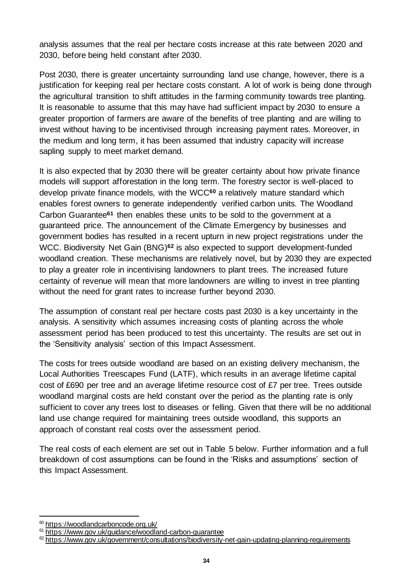analysis assumes that the real per hectare costs increase at this rate between 2020 and 2030, before being held constant after 2030.

Post 2030, there is greater uncertainty surrounding land use change, however, there is a justification for keeping real per hectare costs constant. A lot of work is being done through the agricultural transition to shift attitudes in the farming community towards tree planting. It is reasonable to assume that this may have had sufficient impact by 2030 to ensure a greater proportion of farmers are aware of the benefits of tree planting and are willing to invest without having to be incentivised through increasing payment rates. Moreover, in the medium and long term, it has been assumed that industry capacity will increase sapling supply to meet market demand.

It is also expected that by 2030 there will be greater certainty about how private finance models will support afforestation in the long term. The forestry sector is well-placed to develop private finance models, with the WCC**<sup>60</sup>** a relatively mature standard which enables forest owners to generate independently verified carbon units. The Woodland Carbon Guarantee**<sup>61</sup>** then enables these units to be sold to the government at a guaranteed price. The announcement of the Climate Emergency by businesses and government bodies has resulted in a recent upturn in new project registrations under the WCC. Biodiversity Net Gain (BNG) **<sup>62</sup>** is also expected to support development-funded woodland creation. These mechanisms are relatively novel, but by 2030 they are expected to play a greater role in incentivising landowners to plant trees. The increased future certainty of revenue will mean that more landowners are willing to invest in tree planting without the need for grant rates to increase further beyond 2030.

The assumption of constant real per hectare costs past 2030 is a key uncertainty in the analysis. A sensitivity which assumes increasing costs of planting across the whole assessment period has been produced to test this uncertainty. The results are set out in the 'Sensitivity analysis' section of this Impact Assessment.

The costs for trees outside woodland are based on an existing delivery mechanism, the Local Authorities Treescapes Fund (LATF), which results in an average lifetime capital cost of £690 per tree and an average lifetime resource cost of £7 per tree. Trees outside woodland marginal costs are held constant over the period as the planting rate is only sufficient to cover any trees lost to diseases or felling. Given that there will be no additional land use change required for maintaining trees outside woodland, this supports an approach of constant real costs over the assessment period.

The real costs of each element are set out in Table 5 below. Further information and a full breakdown of cost assumptions can be found in the 'Risks and assumptions' section of this Impact Assessment.

<sup>60</sup> <https://woodlandcarboncode.org.uk/>

<sup>&</sup>lt;sup>61</sup> <https://www.gov.uk/guidance/woodland-carbon-guarantee>

 $62$  <https://www.gov.uk/government/consultations/biodiversity-net-gain-updating-planning-requirements>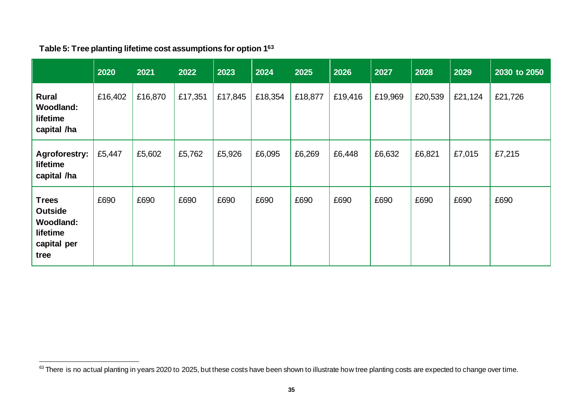|                                                                                       | 2020    | 2021    | 2022    | 2023    | 2024    | 2025    | 2026    | 2027    | 2028    | 2029    | 2030 to 2050 |
|---------------------------------------------------------------------------------------|---------|---------|---------|---------|---------|---------|---------|---------|---------|---------|--------------|
| <b>Rural</b><br><b>Woodland:</b><br>lifetime<br>capital /ha                           | £16,402 | £16,870 | £17,351 | £17,845 | £18,354 | £18,877 | £19,416 | £19,969 | £20,539 | £21,124 | £21,726      |
| <b>Agroforestry:</b><br>lifetime<br>capital /ha                                       | £5,447  | £5,602  | £5,762  | £5,926  | £6,095  | £6,269  | £6,448  | £6,632  | £6,821  | £7,015  | £7,215       |
| <b>Trees</b><br><b>Outside</b><br><b>Woodland:</b><br>lifetime<br>capital per<br>tree | £690    | £690    | £690    | £690    | £690    | £690    | £690    | £690    | £690    | £690    | £690         |

## **Table 5: Tree planting lifetime cost assumptions for option 1<sup>63</sup>**

<sup>63</sup> There is no actual planting in years 2020 to 2025, but these costs have been shown to illustrate how tree planting costs are expected to change over time.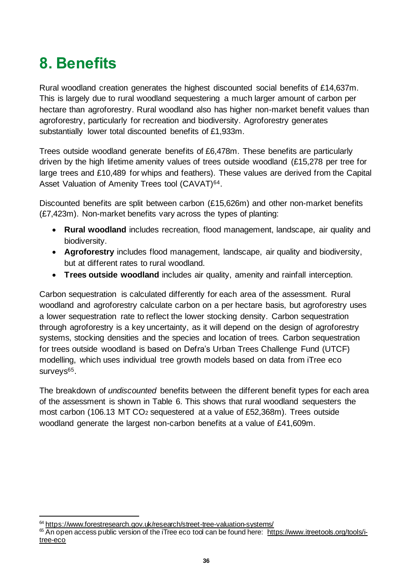# <span id="page-35-0"></span>**8. Benefits**

Rural woodland creation generates the highest discounted social benefits of £14,637m. This is largely due to rural woodland sequestering a much larger amount of carbon per hectare than agroforestry. Rural woodland also has higher non-market benefit values than agroforestry, particularly for recreation and biodiversity. Agroforestry generates substantially lower total discounted benefits of £1,933m.

Trees outside woodland generate benefits of £6,478m. These benefits are particularly driven by the high lifetime amenity values of trees outside woodland (£15,278 per tree for large trees and £10,489 for whips and feathers). These values are derived from the Capital Asset Valuation of Amenity Trees tool (CAVAT)<sup>64</sup>.

Discounted benefits are split between carbon (£15,626m) and other non-market benefits (£7,423m). Non-market benefits vary across the types of planting:

- **Rural woodland** includes recreation, flood management, landscape, air quality and biodiversity.
- **Agroforestry** includes flood management, landscape, air quality and biodiversity, but at different rates to rural woodland.
- **Trees outside woodland** includes air quality, amenity and rainfall interception.

Carbon sequestration is calculated differently for each area of the assessment. Rural woodland and agroforestry calculate carbon on a per hectare basis, but agroforestry uses a lower sequestration rate to reflect the lower stocking density. Carbon sequestration through agroforestry is a key uncertainty, as it will depend on the design of agroforestry systems, stocking densities and the species and location of trees. Carbon sequestration for trees outside woodland is based on Defra's Urban Trees Challenge Fund (UTCF) modelling, which uses individual tree growth models based on data from iTree eco surveys<sup>65</sup>.

The breakdown of *undiscounted* benefits between the different benefit types for each area of the assessment is shown in Table 6. This shows that rural woodland sequesters the most carbon (106.13 MT CO<sup>2</sup> sequestered at a value of £52,368m). Trees outside woodland generate the largest non-carbon benefits at a value of £41,609m.

<sup>&</sup>lt;sup>64</sup> <https://www.forestresearch.gov.uk/research/street-tree-valuation-systems/>

 $65$  An open access public version of the iTree eco tool can be found here: [https://www.itreetools.org/tools/i](https://www.itreetools.org/tools/i-tree-eco)[tree-eco](https://www.itreetools.org/tools/i-tree-eco)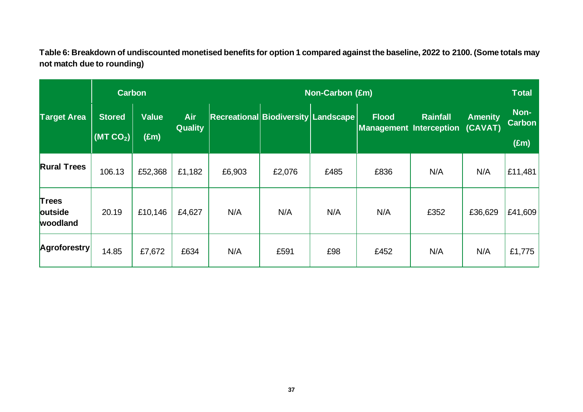**Table 6: Breakdown of undiscounted monetised benefits for option 1 compared against the baseline, 2022 to 2100. (Some totals may not match due to rounding)**

|                                     | <b>Carbon</b>                         |                               |                              | <b>Non-Carbon (£m)</b> |                                     |      |                                                |                 |                           |                                        |
|-------------------------------------|---------------------------------------|-------------------------------|------------------------------|------------------------|-------------------------------------|------|------------------------------------------------|-----------------|---------------------------|----------------------------------------|
| <b>Target Area</b>                  | <b>Stored</b><br>(MTCO <sub>2</sub> ) | <b>Value</b><br>$(\text{Em})$ | <b>Air</b><br><b>Quality</b> |                        | Recreational Biodiversity Landscape |      | <b>Flood</b><br><b>Management Interception</b> | <b>Rainfall</b> | <b>Amenity</b><br>(CAVAT) | Non-<br><b>Carbon</b><br>$(\text{Em})$ |
| <b>Rural Trees</b>                  | 106.13                                | £52,368                       | £1,182                       | £6,903                 | £2,076                              | £485 | £836                                           | N/A             | N/A                       | £11,481                                |
| <b>Trees</b><br>outside<br>woodland | 20.19                                 | £10,146                       | £4,627                       | N/A                    | N/A                                 | N/A  | N/A                                            | £352            | £36,629                   | £41,609                                |
| Agroforestry                        | 14.85                                 | £7,672                        | £634                         | N/A                    | £591                                | £98  | £452                                           | N/A             | N/A                       | £1,775                                 |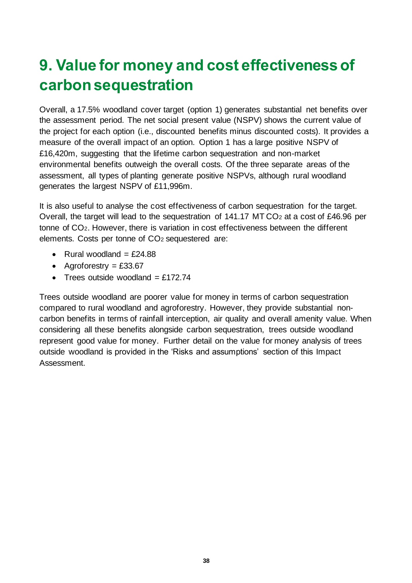## **9. Value for money and cost effectiveness of carbon sequestration**

Overall, a 17.5% woodland cover target (option 1) generates substantial net benefits over the assessment period. The net social present value (NSPV) shows the current value of the project for each option (i.e., discounted benefits minus discounted costs). It provides a measure of the overall impact of an option. Option 1 has a large positive NSPV of £16,420m, suggesting that the lifetime carbon sequestration and non-market environmental benefits outweigh the overall costs. Of the three separate areas of the assessment, all types of planting generate positive NSPVs, although rural woodland generates the largest NSPV of £11,996m.

It is also useful to analyse the cost effectiveness of carbon sequestration for the target. Overall, the target will lead to the sequestration of 141.17 MT CO<sup>2</sup> at a cost of £46.96 per tonne of CO2. However, there is variation in cost effectiveness between the different elements. Costs per tonne of CO<sup>2</sup> sequestered are:

- Rural woodland  $=$  £24.88
- Agroforestry  $=$  £33.67
- Trees outside woodland  $=$  £172.74

Trees outside woodland are poorer value for money in terms of carbon sequestration compared to rural woodland and agroforestry. However, they provide substantial noncarbon benefits in terms of rainfall interception, air quality and overall amenity value. When considering all these benefits alongside carbon sequestration, trees outside woodland represent good value for money. Further detail on the value for money analysis of trees outside woodland is provided in the 'Risks and assumptions' section of this Impact Assessment.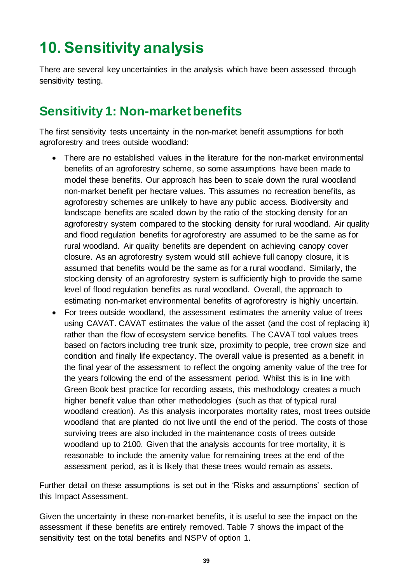## **10. Sensitivity analysis**

There are several key uncertainties in the analysis which have been assessed through sensitivity testing.

## **Sensitivity 1: Non-market benefits**

The first sensitivity tests uncertainty in the non-market benefit assumptions for both agroforestry and trees outside woodland:

- There are no established values in the literature for the non-market environmental benefits of an agroforestry scheme, so some assumptions have been made to model these benefits. Our approach has been to scale down the rural woodland non-market benefit per hectare values. This assumes no recreation benefits, as agroforestry schemes are unlikely to have any public access. Biodiversity and landscape benefits are scaled down by the ratio of the stocking density for an agroforestry system compared to the stocking density for rural woodland. Air quality and flood regulation benefits for agroforestry are assumed to be the same as for rural woodland. Air quality benefits are dependent on achieving canopy cover closure. As an agroforestry system would still achieve full canopy closure, it is assumed that benefits would be the same as for a rural woodland. Similarly, the stocking density of an agroforestry system is sufficiently high to provide the same level of flood regulation benefits as rural woodland. Overall, the approach to estimating non-market environmental benefits of agroforestry is highly uncertain.
- For trees outside woodland, the assessment estimates the amenity value of trees using CAVAT. CAVAT estimates the value of the asset (and the cost of replacing it) rather than the flow of ecosystem service benefits. The CAVAT tool values trees based on factors including tree trunk size, proximity to people, tree crown size and condition and finally life expectancy. The overall value is presented as a benefit in the final year of the assessment to reflect the ongoing amenity value of the tree for the years following the end of the assessment period. Whilst this is in line with Green Book best practice for recording assets, this methodology creates a much higher benefit value than other methodologies (such as that of typical rural woodland creation). As this analysis incorporates mortality rates, most trees outside woodland that are planted do not live until the end of the period. The costs of those surviving trees are also included in the maintenance costs of trees outside woodland up to 2100. Given that the analysis accounts for tree mortality, it is reasonable to include the amenity value for remaining trees at the end of the assessment period, as it is likely that these trees would remain as assets.

Further detail on these assumptions is set out in the 'Risks and assumptions' section of this Impact Assessment.

Given the uncertainty in these non-market benefits, it is useful to see the impact on the assessment if these benefits are entirely removed. Table 7 shows the impact of the sensitivity test on the total benefits and NSPV of option 1.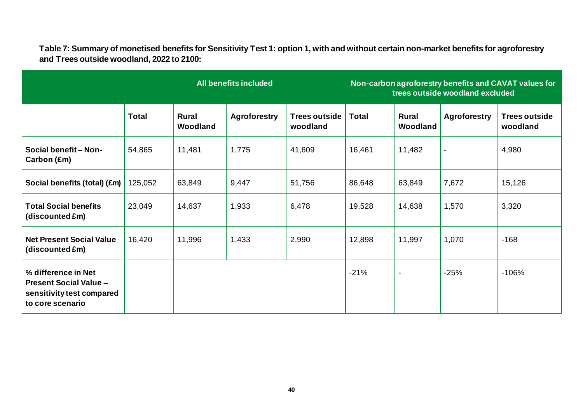**Table 7: Summary of monetised benefits for Sensitivity Test 1: option 1, with and without certain non-market benefits for agroforestry and Trees outside woodland, 2022 to 2100:**

| <b>All benefits included</b>                                                                          |              |                   |                     |                                  | Non-carbon agroforestry benefits and CAVAT values for<br>trees outside woodland excluded |                          |                     |                                  |
|-------------------------------------------------------------------------------------------------------|--------------|-------------------|---------------------|----------------------------------|------------------------------------------------------------------------------------------|--------------------------|---------------------|----------------------------------|
|                                                                                                       | <b>Total</b> | Rural<br>Woodland | <b>Agroforestry</b> | <b>Trees outside</b><br>woodland | Total                                                                                    | <b>Rural</b><br>Woodland | <b>Agroforestry</b> | <b>Trees outside</b><br>woodland |
| Social benefit - Non-<br>Carbon (£m)                                                                  | 54,865       | 11,481            | 1,775               | 41,609                           | 16,461                                                                                   | 11,482                   | $\blacksquare$      | 4,980                            |
| Social benefits (total) (£m)                                                                          | 125,052      | 63,849            | 9,447               | 51,756                           | 86,648                                                                                   | 63,849                   | 7,672               | 15,126                           |
| <b>Total Social benefits</b><br>(discounted £m)                                                       | 23,049       | 14,637            | 1,933               | 6,478                            | 19,528                                                                                   | 14,638                   | 1,570               | 3,320                            |
| <b>Net Present Social Value</b><br>(discounted £m)                                                    | 16,420       | 11,996            | 1,433               | 2,990                            | 12,898                                                                                   | 11,997                   | 1,070               | $-168$                           |
| % difference in Net<br><b>Present Social Value -</b><br>sensitivity test compared<br>to core scenario |              |                   |                     |                                  | $-21%$                                                                                   | $\blacksquare$           | $-25%$              | $-106%$                          |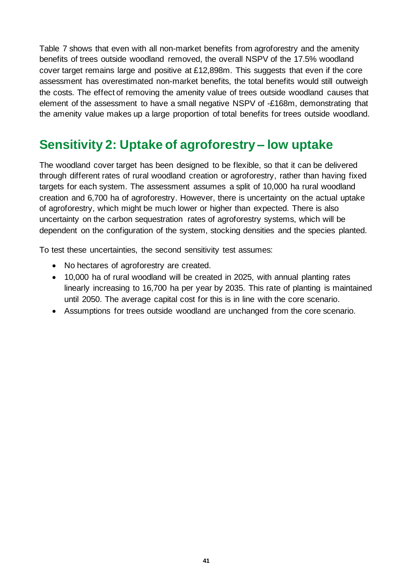Table 7 shows that even with all non-market benefits from agroforestry and the amenity benefits of trees outside woodland removed, the overall NSPV of the 17.5% woodland cover target remains large and positive at £12,898m. This suggests that even if the core assessment has overestimated non-market benefits, the total benefits would still outweigh the costs. The effect of removing the amenity value of trees outside woodland causes that element of the assessment to have a small negative NSPV of -£168m, demonstrating that the amenity value makes up a large proportion of total benefits for trees outside woodland.

## **Sensitivity 2: Uptake of agroforestry – low uptake**

The woodland cover target has been designed to be flexible, so that it can be delivered through different rates of rural woodland creation or agroforestry, rather than having fixed targets for each system. The assessment assumes a split of 10,000 ha rural woodland creation and 6,700 ha of agroforestry. However, there is uncertainty on the actual uptake of agroforestry, which might be much lower or higher than expected. There is also uncertainty on the carbon sequestration rates of agroforestry systems, which will be dependent on the configuration of the system, stocking densities and the species planted.

To test these uncertainties, the second sensitivity test assumes:

- No hectares of agroforestry are created.
- 10,000 ha of rural woodland will be created in 2025, with annual planting rates linearly increasing to 16,700 ha per year by 2035. This rate of planting is maintained until 2050. The average capital cost for this is in line with the core scenario.
- Assumptions for trees outside woodland are unchanged from the core scenario.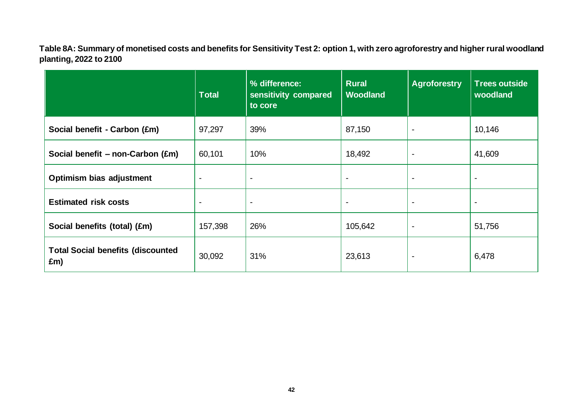**Table 8A: Summary of monetised costs and benefits for Sensitivity Test 2: option 1, with zero agroforestry and higher rural woodland planting, 2022 to 2100**

|                                                 | Total                    | % difference:<br>sensitivity compared<br>to core | <b>Rural</b><br><b>Woodland</b> | <b>Agroforestry</b>      | <b>Trees outside</b><br>woodland |
|-------------------------------------------------|--------------------------|--------------------------------------------------|---------------------------------|--------------------------|----------------------------------|
| Social benefit - Carbon (£m)                    | 97,297                   | 39%                                              | 87,150                          | $\overline{\phantom{a}}$ | 10,146                           |
| Social benefit $-$ non-Carbon (£m)              | 60,101                   | 10%                                              | 18,492                          | $\overline{\phantom{a}}$ | 41,609                           |
| Optimism bias adjustment                        | $\overline{\phantom{a}}$ | $\overline{\phantom{a}}$                         | $\overline{\phantom{a}}$        | $\overline{\phantom{a}}$ | $\blacksquare$                   |
| <b>Estimated risk costs</b>                     | $\blacksquare$           | $\overline{\phantom{a}}$                         |                                 |                          | $\blacksquare$                   |
| Social benefits (total) (£m)                    | 157,398                  | 26%                                              | 105,642                         | $\overline{\phantom{a}}$ | 51,756                           |
| <b>Total Social benefits (discounted</b><br>£m) | 30,092                   | 31%                                              | 23,613                          | $\blacksquare$           | 6,478                            |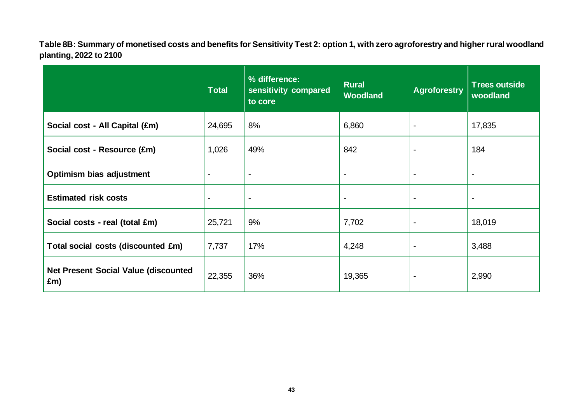**Table 8B: Summary of monetised costs and benefits for Sensitivity Test 2: option 1, with zero agroforestry and higher rural woodland planting, 2022 to 2100**

|                                                     | <b>Total</b>   | % difference:<br>sensitivity compared<br>to core | <b>Rural</b><br><b>Woodland</b> | <b>Agroforestry</b> | <b>Trees outside</b><br>woodland |
|-----------------------------------------------------|----------------|--------------------------------------------------|---------------------------------|---------------------|----------------------------------|
| Social cost - All Capital (£m)                      | 24,695         | 8%                                               | 6,860                           |                     | 17,835                           |
| Social cost - Resource (£m)                         | 1,026          | 49%                                              | 842                             |                     | 184                              |
| Optimism bias adjustment                            | $\blacksquare$ |                                                  | $\blacksquare$                  | $\blacksquare$      | $\blacksquare$                   |
| <b>Estimated risk costs</b>                         | $\blacksquare$ |                                                  | $\blacksquare$                  |                     | $\blacksquare$                   |
| Social costs - real (total £m)                      | 25,721         | 9%                                               | 7,702                           |                     | 18,019                           |
| Total social costs (discounted £m)                  | 7,737          | 17%                                              | 4,248                           |                     | 3,488                            |
| <b>Net Present Social Value (discounted)</b><br>£m) | 22,355         | 36%                                              | 19,365                          |                     | 2,990                            |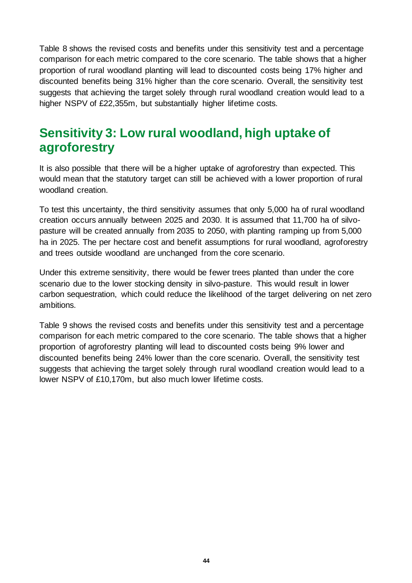Table 8 shows the revised costs and benefits under this sensitivity test and a percentage comparison for each metric compared to the core scenario. The table shows that a higher proportion of rural woodland planting will lead to discounted costs being 17% higher and discounted benefits being 31% higher than the core scenario. Overall, the sensitivity test suggests that achieving the target solely through rural woodland creation would lead to a higher NSPV of £22,355m, but substantially higher lifetime costs.

## **Sensitivity 3: Low rural woodland, high uptake of agroforestry**

It is also possible that there will be a higher uptake of agroforestry than expected. This would mean that the statutory target can still be achieved with a lower proportion of rural woodland creation.

To test this uncertainty, the third sensitivity assumes that only 5,000 ha of rural woodland creation occurs annually between 2025 and 2030. It is assumed that 11,700 ha of silvopasture will be created annually from 2035 to 2050, with planting ramping up from 5,000 ha in 2025. The per hectare cost and benefit assumptions for rural woodland, agroforestry and trees outside woodland are unchanged from the core scenario.

Under this extreme sensitivity, there would be fewer trees planted than under the core scenario due to the lower stocking density in silvo-pasture. This would result in lower carbon sequestration, which could reduce the likelihood of the target delivering on net zero ambitions.

Table 9 shows the revised costs and benefits under this sensitivity test and a percentage comparison for each metric compared to the core scenario. The table shows that a higher proportion of agroforestry planting will lead to discounted costs being 9% lower and discounted benefits being 24% lower than the core scenario. Overall, the sensitivity test suggests that achieving the target solely through rural woodland creation would lead to a lower NSPV of £10,170m, but also much lower lifetime costs.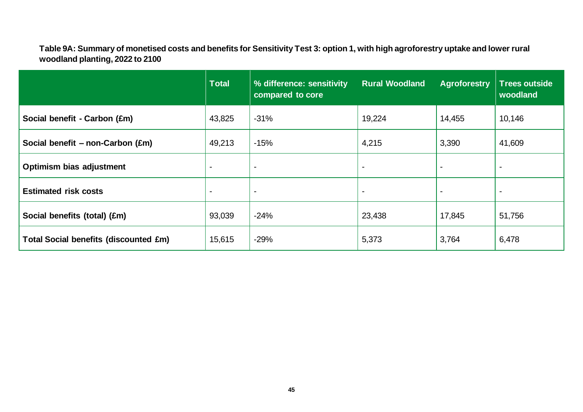**Table 9A: Summary of monetised costs and benefits for Sensitivity Test 3: option 1, with high agroforestry uptake and lower rural woodland planting, 2022 to 2100**

|                                              | <b>Total</b>   | % difference: sensitivity<br>compared to core | <b>Rural Woodland</b> | <b>Agroforestry</b> | <b>Trees outside</b><br>woodland |
|----------------------------------------------|----------------|-----------------------------------------------|-----------------------|---------------------|----------------------------------|
| Social benefit - Carbon (£m)                 | 43,825         | $-31%$                                        | 19,224                | 14,455              | 10,146                           |
| Social benefit – non-Carbon (£m)             | 49,213         | $-15%$                                        | 4,215                 | 3,390               | 41,609                           |
| Optimism bias adjustment                     | $\blacksquare$ | $\blacksquare$                                | $\blacksquare$        |                     |                                  |
| <b>Estimated risk costs</b>                  | $\blacksquare$ | $\blacksquare$                                | $\blacksquare$        |                     |                                  |
| Social benefits (total) (£m)                 | 93,039         | $-24%$                                        | 23,438                | 17,845              | 51,756                           |
| <b>Total Social benefits (discounted £m)</b> | 15,615         | $-29%$                                        | 5,373                 | 3,764               | 6,478                            |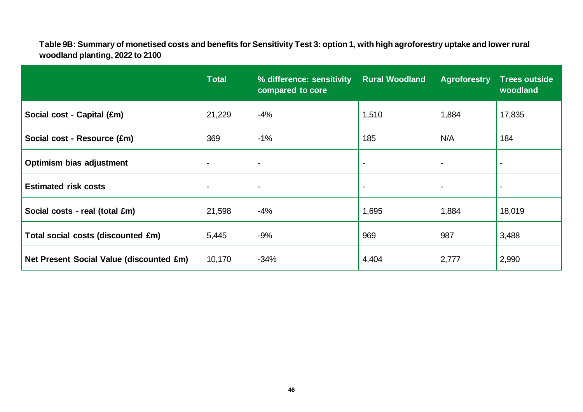**Table 9B: Summary of monetised costs and benefits for Sensitivity Test 3: option 1, with high agroforestry uptake and lower rural woodland planting, 2022 to 2100**

|                                          | <b>Total</b>   | % difference: sensitivity<br>compared to core | <b>Rural Woodland</b> | <b>Agroforestry</b>      | <b>Trees outside</b><br>woodland |
|------------------------------------------|----------------|-----------------------------------------------|-----------------------|--------------------------|----------------------------------|
| Social cost - Capital (£m)               | 21,229         | -4%                                           | 1,510                 | 1,884                    | 17,835                           |
| Social cost - Resource (£m)              | 369            | $-1%$                                         | 185                   | N/A                      | 184                              |
| Optimism bias adjustment                 | $\blacksquare$ |                                               | $\blacksquare$        | $\overline{\phantom{0}}$ | $\overline{\phantom{a}}$         |
| <b>Estimated risk costs</b>              |                | $\blacksquare$                                | $\blacksquare$        | $\blacksquare$           | $\blacksquare$                   |
| Social costs - real (total £m)           | 21,598         | $-4%$                                         | 1,695                 | 1,884                    | 18,019                           |
| Total social costs (discounted £m)       | 5,445          | $-9%$                                         | 969                   | 987                      | 3,488                            |
| Net Present Social Value (discounted £m) | 10,170         | $-34%$                                        | 4,404                 | 2,777                    | 2,990                            |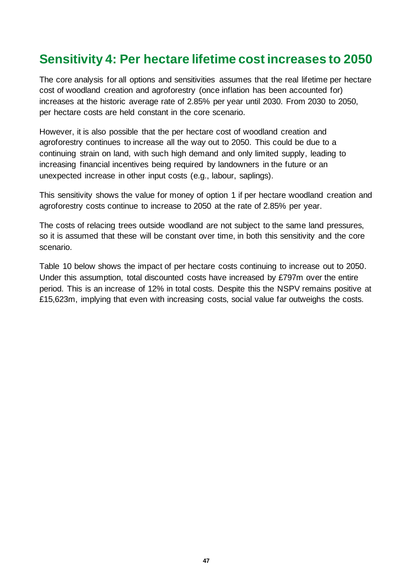### **Sensitivity 4: Per hectare lifetime cost increases to 2050**

The core analysis for all options and sensitivities assumes that the real lifetime per hectare cost of woodland creation and agroforestry (once inflation has been accounted for) increases at the historic average rate of 2.85% per year until 2030. From 2030 to 2050, per hectare costs are held constant in the core scenario.

However, it is also possible that the per hectare cost of woodland creation and agroforestry continues to increase all the way out to 2050. This could be due to a continuing strain on land, with such high demand and only limited supply, leading to increasing financial incentives being required by landowners in the future or an unexpected increase in other input costs (e.g., labour, saplings).

This sensitivity shows the value for money of option 1 if per hectare woodland creation and agroforestry costs continue to increase to 2050 at the rate of 2.85% per year.

The costs of relacing trees outside woodland are not subject to the same land pressures, so it is assumed that these will be constant over time, in both this sensitivity and the core scenario.

Table 10 below shows the impact of per hectare costs continuing to increase out to 2050. Under this assumption, total discounted costs have increased by £797m over the entire period. This is an increase of 12% in total costs. Despite this the NSPV remains positive at £15,623m, implying that even with increasing costs, social value far outweighs the costs.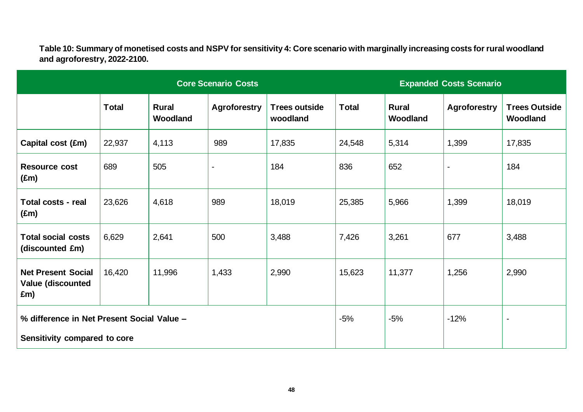**Table 10: Summary of monetised costs and NSPV for sensitivity 4: Core scenario with marginally increasing costs for rural woodland and agroforestry, 2022-2100.**

|                                                       |              |                          | <b>Core Scenario Costs</b> |                                  |              | <b>Expanded Costs Scenario</b> |                     |                                  |  |
|-------------------------------------------------------|--------------|--------------------------|----------------------------|----------------------------------|--------------|--------------------------------|---------------------|----------------------------------|--|
|                                                       | <b>Total</b> | <b>Rural</b><br>Woodland | <b>Agroforestry</b>        | <b>Trees outside</b><br>woodland | <b>Total</b> | <b>Rural</b><br>Woodland       | <b>Agroforestry</b> | <b>Trees Outside</b><br>Woodland |  |
| Capital cost (£m)                                     | 22,937       | 4,113                    | 989                        | 17,835                           | 24,548       | 5,314                          | 1,399               | 17,835                           |  |
| <b>Resource cost</b><br>$(\text{Em})$                 | 689          | 505                      | ÷,                         | 184                              | 836          | 652                            |                     | 184                              |  |
| <b>Total costs - real</b><br>$(\text{Em})$            | 23,626       | 4,618                    | 989                        | 18,019                           | 25,385       | 5,966                          | 1,399               | 18,019                           |  |
| <b>Total social costs</b><br>(discounted £m)          | 6,629        | 2,641                    | 500                        | 3,488                            | 7,426        | 3,261                          | 677                 | 3,488                            |  |
| <b>Net Present Social</b><br>Value (discounted<br>£m) | 16,420       | 11,996                   | 1,433                      | 2,990                            | 15,623       | 11,377                         | 1,256               | 2,990                            |  |
| % difference in Net Present Social Value -            |              |                          |                            |                                  | $-5%$        | $-5%$                          | $-12%$              |                                  |  |
| Sensitivity compared to core                          |              |                          |                            |                                  |              |                                |                     |                                  |  |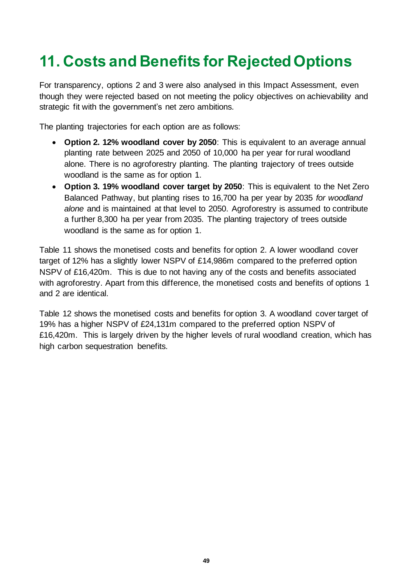## **11. Costs and Benefits for Rejected Options**

For transparency, options 2 and 3 were also analysed in this Impact Assessment, even though they were rejected based on not meeting the policy objectives on achievability and strategic fit with the government's net zero ambitions.

The planting trajectories for each option are as follows:

- **Option 2. 12% woodland cover by 2050**: This is equivalent to an average annual planting rate between 2025 and 2050 of 10,000 ha per year for rural woodland alone. There is no agroforestry planting. The planting trajectory of trees outside woodland is the same as for option 1.
- **Option 3. 19% woodland cover target by 2050**: This is equivalent to the Net Zero Balanced Pathway, but planting rises to 16,700 ha per year by 2035 *for woodland alone* and is maintained at that level to 2050. Agroforestry is assumed to contribute a further 8,300 ha per year from 2035. The planting trajectory of trees outside woodland is the same as for option 1.

Table 11 shows the monetised costs and benefits for option 2. A lower woodland cover target of 12% has a slightly lower NSPV of £14,986m compared to the preferred option NSPV of £16,420m. This is due to not having any of the costs and benefits associated with agroforestry. Apart from this difference, the monetised costs and benefits of options 1 and 2 are identical.

Table 12 shows the monetised costs and benefits for option 3. A woodland cover target of 19% has a higher NSPV of £24,131m compared to the preferred option NSPV of £16,420m. This is largely driven by the higher levels of rural woodland creation, which has high carbon sequestration benefits.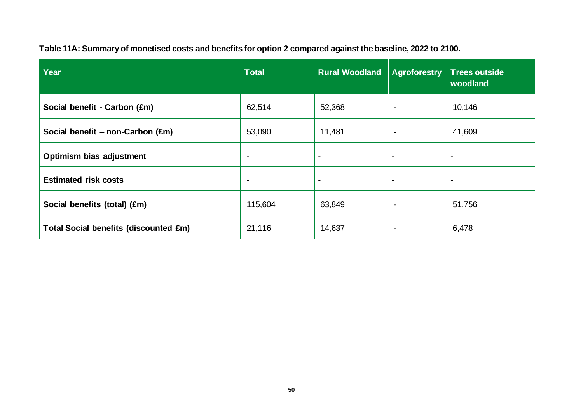| Year                                         | <b>Total</b>             | <b>Rural Woodland</b>    | <b>Agroforestry</b>      | <b>Trees outside</b><br>woodland |
|----------------------------------------------|--------------------------|--------------------------|--------------------------|----------------------------------|
| Social benefit - Carbon (£m)                 | 62,514                   | 52,368                   | $\overline{\phantom{0}}$ | 10,146                           |
| Social benefit - non-Carbon (£m)             | 53,090                   | 11,481                   | $\overline{\phantom{0}}$ | 41,609                           |
| Optimism bias adjustment                     | $\overline{\phantom{0}}$ |                          | $\overline{\phantom{0}}$ | $\blacksquare$                   |
| <b>Estimated risk costs</b>                  | $\overline{\phantom{0}}$ | $\overline{\phantom{0}}$ | $\blacksquare$           | $\blacksquare$                   |
| Social benefits (total) (£m)                 | 115,604                  | 63,849                   | $\overline{\phantom{0}}$ | 51,756                           |
| <b>Total Social benefits (discounted £m)</b> | 21,116                   | 14,637                   | $\overline{\phantom{0}}$ | 6,478                            |

**Table 11A: Summary of monetised costs and benefits for option 2 compared against the baseline, 2022 to 2100.**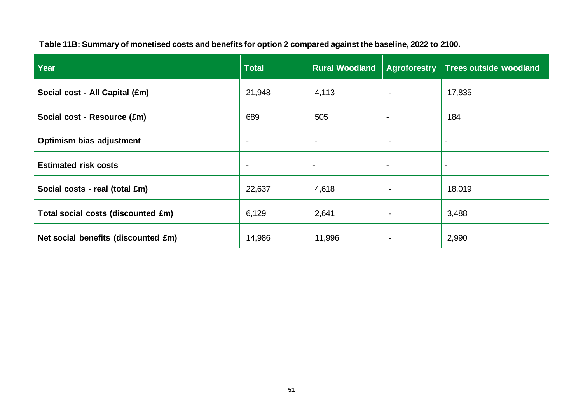| Year                                | <b>Total</b>             | <b>Rural Woodland</b>    |                          | <b>Agroforestry Trees outside woodland</b> |
|-------------------------------------|--------------------------|--------------------------|--------------------------|--------------------------------------------|
| Social cost - All Capital (£m)      | 21,948                   | 4,113                    | $\overline{\phantom{0}}$ | 17,835                                     |
| Social cost - Resource (£m)         | 689                      | 505                      | $\blacksquare$           | 184                                        |
| <b>Optimism bias adjustment</b>     | $\overline{\phantom{0}}$ | $\overline{\phantom{0}}$ | $\overline{\phantom{0}}$ |                                            |
| <b>Estimated risk costs</b>         | $\overline{\phantom{0}}$ | $\blacksquare$           | $\overline{\phantom{a}}$ |                                            |
| Social costs - real (total £m)      | 22,637                   | 4,618                    | $\blacksquare$           | 18,019                                     |
| Total social costs (discounted £m)  | 6,129                    | 2,641                    |                          | 3,488                                      |
| Net social benefits (discounted £m) | 14,986                   | 11,996                   |                          | 2,990                                      |

**Table 11B: Summary of monetised costs and benefits for option 2 compared against the baseline, 2022 to 2100.**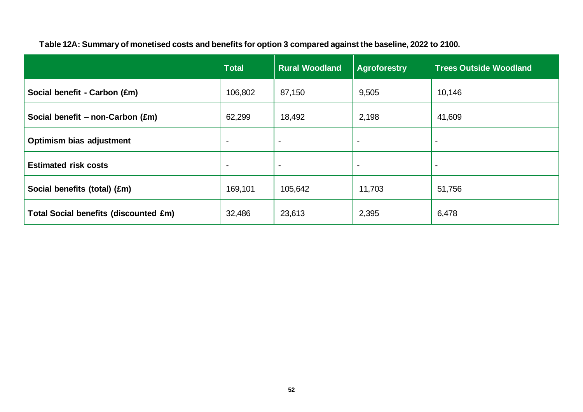|                                              | <b>Total</b>   | <b>Rural Woodland</b> | <b>Agroforestry</b>      | <b>Trees Outside Woodland</b> |
|----------------------------------------------|----------------|-----------------------|--------------------------|-------------------------------|
| Social benefit - Carbon (£m)                 | 106,802        | 87,150                | 9,505                    | 10,146                        |
| Social benefit $-$ non-Carbon (£m)           | 62,299         | 18,492                | 2,198                    | 41,609                        |
| Optimism bias adjustment                     | $\blacksquare$ | $\blacksquare$        | $\overline{\phantom{0}}$ | $\overline{\phantom{0}}$      |
| <b>Estimated risk costs</b>                  | $\blacksquare$ | $\blacksquare$        | $\overline{\phantom{a}}$ | $\overline{\phantom{0}}$      |
| Social benefits (total) (£m)                 | 169,101        | 105,642               | 11,703                   | 51,756                        |
| <b>Total Social benefits (discounted £m)</b> | 32,486         | 23,613                | 2,395                    | 6,478                         |

#### **Table 12A: Summary of monetised costs and benefits for option 3 compared against the baseline, 2022 to 2100.**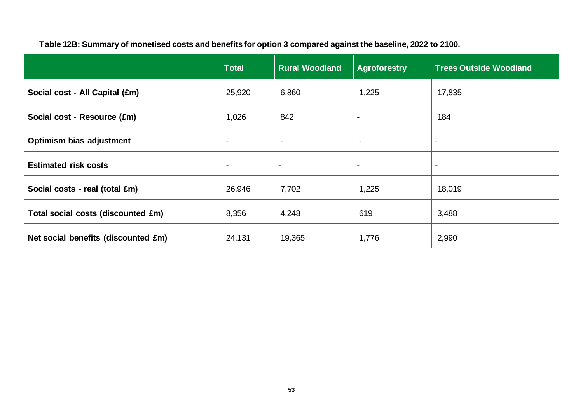|                                     | <b>Total</b>   | <b>Rural Woodland</b> | <b>Agroforestry</b> | <b>Trees Outside Woodland</b> |
|-------------------------------------|----------------|-----------------------|---------------------|-------------------------------|
| Social cost - All Capital (£m)      | 25,920         | 6,860                 | 1,225               | 17,835                        |
| Social cost - Resource (£m)         | 1,026          | 842                   | $\blacksquare$      | 184                           |
| <b>Optimism bias adjustment</b>     | $\blacksquare$ | $\sim$                | $\blacksquare$      | $\blacksquare$                |
| <b>Estimated risk costs</b>         | $\blacksquare$ | $\blacksquare$        | $\blacksquare$      | $\overline{\phantom{0}}$      |
| Social costs - real (total £m)      | 26,946         | 7,702                 | 1,225               | 18,019                        |
| Total social costs (discounted £m)  | 8,356          | 4,248                 | 619                 | 3,488                         |
| Net social benefits (discounted £m) | 24,131         | 19,365                | 1,776               | 2,990                         |

**Table 12B: Summary of monetised costs and benefits for option 3 compared against the baseline, 2022 to 2100.**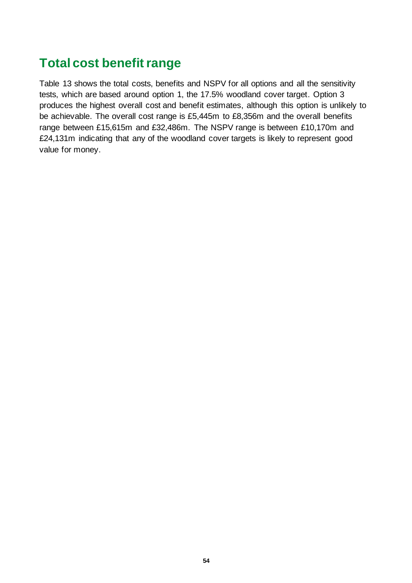## **Total cost benefit range**

Table 13 shows the total costs, benefits and NSPV for all options and all the sensitivity tests, which are based around option 1, the 17.5% woodland cover target. Option 3 produces the highest overall cost and benefit estimates, although this option is unlikely to be achievable. The overall cost range is £5,445m to £8,356m and the overall benefits range between £15,615m and £32,486m. The NSPV range is between £10,170m and £24,131m indicating that any of the woodland cover targets is likely to represent good value for money.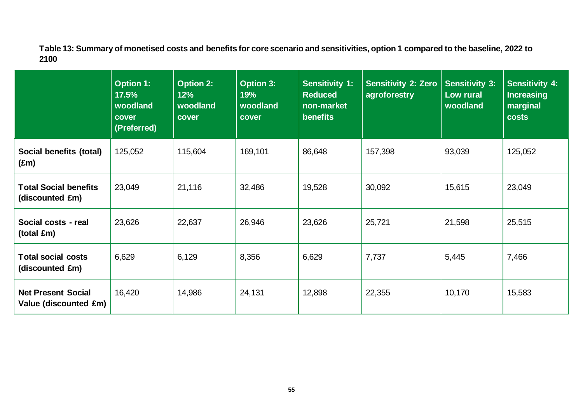**Table 13: Summary of monetised costs and benefits for core scenario and sensitivities, option 1 compared to the baseline, 2022 to 2100**

|                                                    | <b>Option 1:</b><br>17.5%<br>woodland<br>cover<br>(Preferred) | <b>Option 2:</b><br>12%<br>woodland<br>cover | <b>Option 3:</b><br>19%<br>woodland<br>cover | <b>Sensitivity 1:</b><br><b>Reduced</b><br>non-market<br>benefits | <b>Sensitivity 2: Zero</b><br>agroforestry | <b>Sensitivity 3:</b><br>Low rural<br>woodland | <b>Sensitivity 4:</b><br><b>Increasing</b><br>marginal<br><b>costs</b> |
|----------------------------------------------------|---------------------------------------------------------------|----------------------------------------------|----------------------------------------------|-------------------------------------------------------------------|--------------------------------------------|------------------------------------------------|------------------------------------------------------------------------|
| Social benefits (total)<br>$(\text{Em})$           | 125,052                                                       | 115,604                                      | 169,101                                      | 86,648                                                            | 157,398                                    | 93,039                                         | 125,052                                                                |
| <b>Total Social benefits</b><br>(discounted £m)    | 23,049                                                        | 21,116                                       | 32,486                                       | 19,528                                                            | 30,092                                     | 15,615                                         | 23,049                                                                 |
| Social costs - real<br>(total £m)                  | 23,626                                                        | 22,637                                       | 26,946                                       | 23,626                                                            | 25,721                                     | 21,598                                         | 25,515                                                                 |
| <b>Total social costs</b><br>(discounted £m)       | 6,629                                                         | 6,129                                        | 8,356                                        | 6,629                                                             | 7,737                                      | 5,445                                          | 7,466                                                                  |
| <b>Net Present Social</b><br>Value (discounted £m) | 16,420                                                        | 14,986                                       | 24,131                                       | 12,898                                                            | 22,355                                     | 10,170                                         | 15,583                                                                 |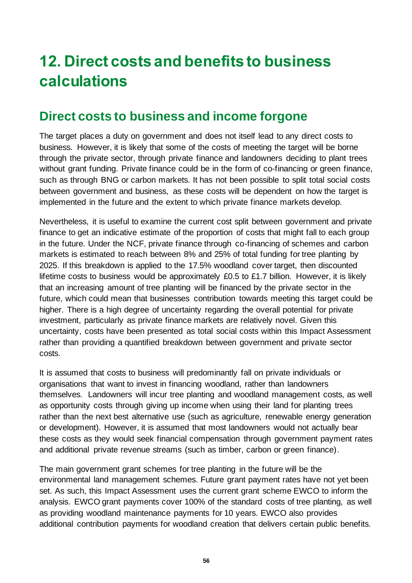## **12. Direct costs and benefits to business calculations**

## **Direct costs to business and income forgone**

The target places a duty on government and does not itself lead to any direct costs to business. However, it is likely that some of the costs of meeting the target will be borne through the private sector, through private finance and landowners deciding to plant trees without grant funding. Private finance could be in the form of co-financing or green finance, such as through BNG or carbon markets. It has not been possible to split total social costs between government and business, as these costs will be dependent on how the target is implemented in the future and the extent to which private finance markets develop.

Nevertheless, it is useful to examine the current cost split between government and private finance to get an indicative estimate of the proportion of costs that might fall to each group in the future. Under the NCF, private finance through co-financing of schemes and carbon markets is estimated to reach between 8% and 25% of total funding for tree planting by 2025. If this breakdown is applied to the 17.5% woodland cover target, then discounted lifetime costs to business would be approximately £0.5 to £1.7 billion. However, it is likely that an increasing amount of tree planting will be financed by the private sector in the future, which could mean that businesses contribution towards meeting this target could be higher. There is a high degree of uncertainty regarding the overall potential for private investment, particularly as private finance markets are relatively novel. Given this uncertainty, costs have been presented as total social costs within this Impact Assessment rather than providing a quantified breakdown between government and private sector costs.

It is assumed that costs to business will predominantly fall on private individuals or organisations that want to invest in financing woodland, rather than landowners themselves. Landowners will incur tree planting and woodland management costs, as well as opportunity costs through giving up income when using their land for planting trees rather than the next best alternative use (such as agriculture, renewable energy generation or development). However, it is assumed that most landowners would not actually bear these costs as they would seek financial compensation through government payment rates and additional private revenue streams (such as timber, carbon or green finance).

The main government grant schemes for tree planting in the future will be the environmental land management schemes. Future grant payment rates have not yet been set. As such, this Impact Assessment uses the current grant scheme EWCO to inform the analysis. EWCO grant payments cover 100% of the standard costs of tree planting, as well as providing woodland maintenance payments for 10 years. EWCO also provides additional contribution payments for woodland creation that delivers certain public benefits.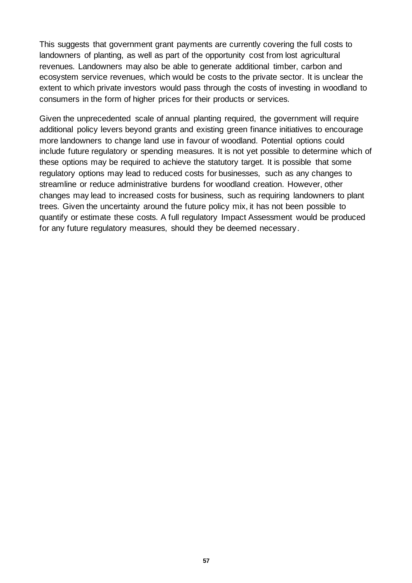This suggests that government grant payments are currently covering the full costs to landowners of planting, as well as part of the opportunity cost from lost agricultural revenues. Landowners may also be able to generate additional timber, carbon and ecosystem service revenues, which would be costs to the private sector. It is unclear the extent to which private investors would pass through the costs of investing in woodland to consumers in the form of higher prices for their products or services.

Given the unprecedented scale of annual planting required, the government will require additional policy levers beyond grants and existing green finance initiatives to encourage more landowners to change land use in favour of woodland. Potential options could include future regulatory or spending measures. It is not yet possible to determine which of these options may be required to achieve the statutory target. It is possible that some regulatory options may lead to reduced costs for businesses, such as any changes to streamline or reduce administrative burdens for woodland creation. However, other changes may lead to increased costs for business, such as requiring landowners to plant trees. Given the uncertainty around the future policy mix, it has not been possible to quantify or estimate these costs. A full regulatory Impact Assessment would be produced for any future regulatory measures, should they be deemed necessary.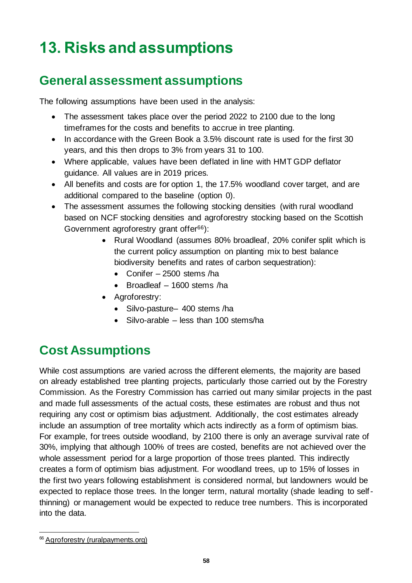# **13. Risks and assumptions**

## **General assessment assumptions**

The following assumptions have been used in the analysis:

- The assessment takes place over the period 2022 to 2100 due to the long timeframes for the costs and benefits to accrue in tree planting.
- In accordance with the Green Book a 3.5% discount rate is used for the first 30 years, and this then drops to 3% from years 31 to 100.
- Where applicable, values have been deflated in line with HMT GDP deflator guidance. All values are in 2019 prices.
- All benefits and costs are for option 1, the 17.5% woodland cover target, and are additional compared to the baseline (option 0).
- The assessment assumes the following stocking densities (with rural woodland based on NCF stocking densities and agroforestry stocking based on the Scottish Government agroforestry grant offer<sup>66</sup>):
	- Rural Woodland (assumes 80% broadleaf, 20% conifer split which is the current policy assumption on planting mix to best balance biodiversity benefits and rates of carbon sequestration):
		- Conifer 2500 stems /ha
		- Broadleaf 1600 stems /ha
	- Agroforestry:
		- Silvo-pasture– 400 stems /ha
		- Silvo-arable less than 100 stems/ha

## **Cost Assumptions**

While cost assumptions are varied across the different elements, the majority are based on already established tree planting projects, particularly those carried out by the Forestry Commission. As the Forestry Commission has carried out many similar projects in the past and made full assessments of the actual costs, these estimates are robust and thus not requiring any cost or optimism bias adjustment. Additionally, the cost estimates already include an assumption of tree mortality which acts indirectly as a form of optimism bias. For example, for trees outside woodland, by 2100 there is only an average survival rate of 30%, implying that although 100% of trees are costed, benefits are not achieved over the whole assessment period for a large proportion of those trees planted. This indirectly creates a form of optimism bias adjustment. For woodland trees, up to 15% of losses in the first two years following establishment is considered normal, but landowners would be expected to replace those trees. In the longer term, natural mortality (shade leading to selfthinning) or management would be expected to reduce tree numbers. This is incorporated into the data.

<sup>&</sup>lt;sup>66</sup> [Agroforestry \(ruralpayments.org\)](https://www.ruralpayments.org/topics/all-schemes/forestry-grant-scheme/agroforestry/#607847)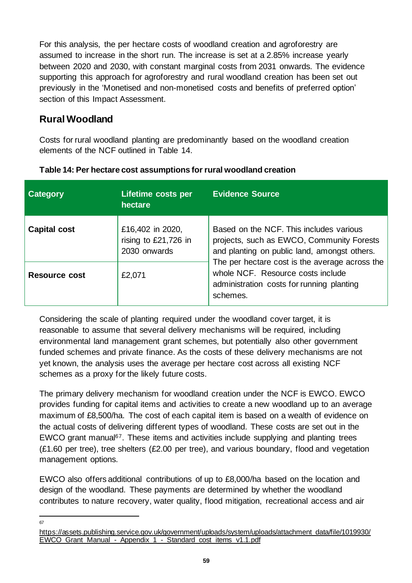For this analysis, the per hectare costs of woodland creation and agroforestry are assumed to increase in the short run. The increase is set at a 2.85% increase yearly between 2020 and 2030, with constant marginal costs from 2031 onwards. The evidence supporting this approach for agroforestry and rural woodland creation has been set out previously in the 'Monetised and non-monetised costs and benefits of preferred option' section of this Impact Assessment.

### **Rural Woodland**

Costs for rural woodland planting are predominantly based on the woodland creation elements of the NCF outlined in Table 14.

| Category             | <b>Lifetime costs per</b><br>hectare                     | <b>Evidence Source</b>                                                                                                                                                                                                                                                               |
|----------------------|----------------------------------------------------------|--------------------------------------------------------------------------------------------------------------------------------------------------------------------------------------------------------------------------------------------------------------------------------------|
| <b>Capital cost</b>  | £16,402 in 2020,<br>rising to £21,726 in<br>2030 onwards | Based on the NCF. This includes various<br>projects, such as EWCO, Community Forests<br>and planting on public land, amongst others.<br>The per hectare cost is the average across the<br>whole NCF. Resource costs include<br>administration costs for running planting<br>schemes. |
| <b>Resource cost</b> | £2,071                                                   |                                                                                                                                                                                                                                                                                      |

**Table 14: Per hectare cost assumptions for rural woodland creation**

Considering the scale of planting required under the woodland cover target, it is reasonable to assume that several delivery mechanisms will be required, including environmental land management grant schemes, but potentially also other government funded schemes and private finance. As the costs of these delivery mechanisms are not yet known, the analysis uses the average per hectare cost across all existing NCF schemes as a proxy for the likely future costs.

The primary delivery mechanism for woodland creation under the NCF is EWCO. EWCO provides funding for capital items and activities to create a new woodland up to an average maximum of £8,500/ha. The cost of each capital item is based on a wealth of evidence on the actual costs of delivering different types of woodland. These costs are set out in the EWCO grant manual<sup>67</sup>. These items and activities include supplying and planting trees (£1.60 per tree), tree shelters (£2.00 per tree), and various boundary, flood and vegetation management options.

EWCO also offers additional contributions of up to £8,000/ha based on the location and design of the woodland. These payments are determined by whether the woodland contributes to nature recovery, water quality, flood mitigation, recreational access and air

67

[https://assets.publishing.service.gov.uk/government/uploads/system/uploads/attachment\\_data/file/1019930/](https://assets.publishing.service.gov.uk/government/uploads/system/uploads/attachment_data/file/1019930/EWCO_Grant_Manual_-_Appendix_1_-_Standard_cost_items_v1.1.pdf) EWCO\_Grant\_Manual - Appendix 1 - Standard\_cost\_items\_v1.1.pdf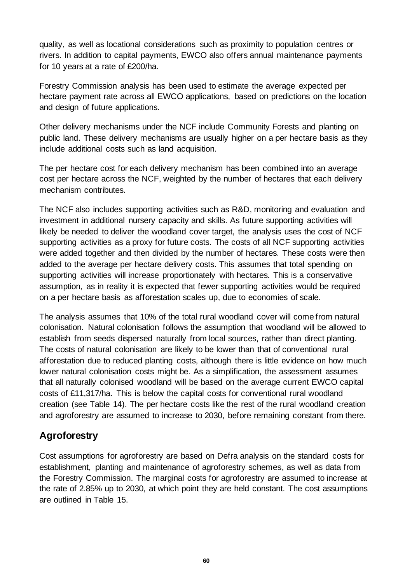quality, as well as locational considerations such as proximity to population centres or rivers. In addition to capital payments, EWCO also offers annual maintenance payments for 10 years at a rate of £200/ha.

Forestry Commission analysis has been used to estimate the average expected per hectare payment rate across all EWCO applications, based on predictions on the location and design of future applications.

Other delivery mechanisms under the NCF include Community Forests and planting on public land. These delivery mechanisms are usually higher on a per hectare basis as they include additional costs such as land acquisition.

The per hectare cost for each delivery mechanism has been combined into an average cost per hectare across the NCF, weighted by the number of hectares that each delivery mechanism contributes.

The NCF also includes supporting activities such as R&D, monitoring and evaluation and investment in additional nursery capacity and skills. As future supporting activities will likely be needed to deliver the woodland cover target, the analysis uses the cost of NCF supporting activities as a proxy for future costs. The costs of all NCF supporting activities were added together and then divided by the number of hectares. These costs were then added to the average per hectare delivery costs. This assumes that total spending on supporting activities will increase proportionately with hectares. This is a conservative assumption, as in reality it is expected that fewer supporting activities would be required on a per hectare basis as afforestation scales up, due to economies of scale.

The analysis assumes that 10% of the total rural woodland cover will come from natural colonisation. Natural colonisation follows the assumption that woodland will be allowed to establish from seeds dispersed naturally from local sources, rather than direct planting. The costs of natural colonisation are likely to be lower than that of conventional rural afforestation due to reduced planting costs, although there is little evidence on how much lower natural colonisation costs might be. As a simplification, the assessment assumes that all naturally colonised woodland will be based on the average current EWCO capital costs of £11,317/ha. This is below the capital costs for conventional rural woodland creation (see Table 14). The per hectare costs like the rest of the rural woodland creation and agroforestry are assumed to increase to 2030, before remaining constant from there.

### **Agroforestry**

Cost assumptions for agroforestry are based on Defra analysis on the standard costs for establishment, planting and maintenance of agroforestry schemes, as well as data from the Forestry Commission. The marginal costs for agroforestry are assumed to increase at the rate of 2.85% up to 2030, at which point they are held constant. The cost assumptions are outlined in Table 15.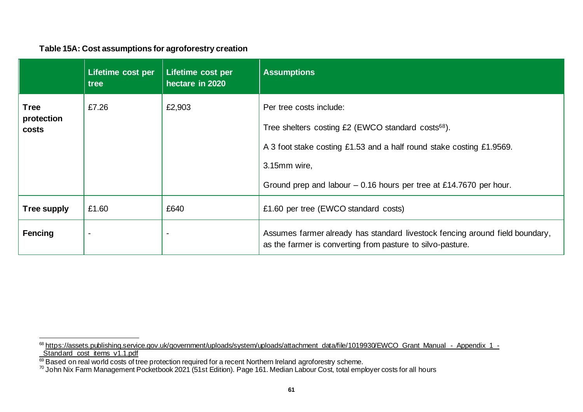#### **Table 15A: Cost assumptions for agroforestry creation**

|                                    | Lifetime cost per<br>tree | Lifetime cost per<br>hectare in 2020 | <b>Assumptions</b>                                                                                                                                                                                                                                       |
|------------------------------------|---------------------------|--------------------------------------|----------------------------------------------------------------------------------------------------------------------------------------------------------------------------------------------------------------------------------------------------------|
| <b>Tree</b><br>protection<br>costs | £7.26                     | £2,903                               | Per tree costs include:<br>Tree shelters costing £2 (EWCO standard costs <sup>68</sup> ).<br>A 3 foot stake costing £1.53 and a half round stake costing £1.9569.<br>3.15mm wire,<br>Ground prep and labour $-0.16$ hours per tree at £14.7670 per hour. |
| Tree supply                        | £1.60                     | £640                                 | £1.60 per tree (EWCO standard costs)                                                                                                                                                                                                                     |
| Fencing                            |                           |                                      | Assumes farmer already has standard livestock fencing around field boundary,<br>as the farmer is converting from pasture to silvo-pasture.                                                                                                               |

<sup>&</sup>lt;sup>68</sup> [https://assets.publishing.service.gov.uk/government/uploads/system/uploads/attachment\\_data/file/1019930/EWCO\\_Grant\\_Manual\\_-\\_Appendix\\_1\\_-](https://assets.publishing.service.gov.uk/government/uploads/system/uploads/attachment_data/file/1019930/EWCO_Grant_Manual_-_Appendix_1_-_Standard_cost_items_v1.1.pdf) Standard cost items v1.1.pdf

 $69$  Based on real world costs of tree protection required for a recent Northern Ireland agroforestry scheme.

 $^{70}$  John Nix Farm Management Pocketbook 2021 (51st Edition). Page 161. Median Labour Cost, total employer costs for all hours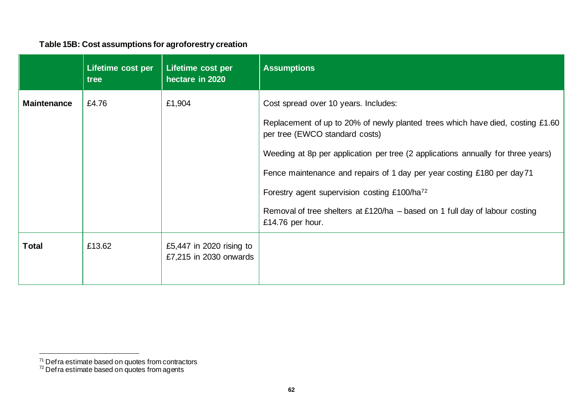#### **Table 15B: Cost assumptions for agroforestry creation**

|                    | Lifetime cost per<br>tree | Lifetime cost per<br>hectare in 2020               | <b>Assumptions</b>                                                                                                                                                                                                                                                                                                                                                                                                                                                                       |
|--------------------|---------------------------|----------------------------------------------------|------------------------------------------------------------------------------------------------------------------------------------------------------------------------------------------------------------------------------------------------------------------------------------------------------------------------------------------------------------------------------------------------------------------------------------------------------------------------------------------|
| <b>Maintenance</b> | £4.76                     | £1,904                                             | Cost spread over 10 years. Includes:<br>Replacement of up to 20% of newly planted trees which have died, costing £1.60<br>per tree (EWCO standard costs)<br>Weeding at 8p per application per tree (2 applications annually for three years)<br>Fence maintenance and repairs of 1 day per year costing £180 per day 71<br>Forestry agent supervision costing £100/ha <sup>72</sup><br>Removal of tree shelters at £120/ha $-$ based on 1 full day of labour costing<br>£14.76 per hour. |
| <b>Total</b>       | £13.62                    | £5,447 in 2020 rising to<br>£7,215 in 2030 onwards |                                                                                                                                                                                                                                                                                                                                                                                                                                                                                          |

<sup>&</sup>lt;sup>71</sup> Def ra estimate based on quotes from contractors

 $72$  Defra estimate based on quotes from agents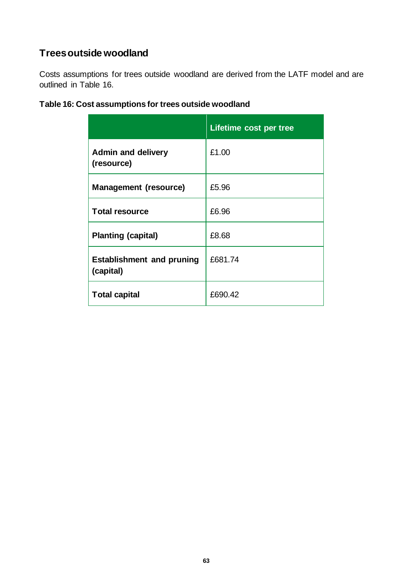### **Trees outside woodland**

Costs assumptions for trees outside woodland are derived from the LATF model and are outlined in Table 16.

|                                               | Lifetime cost per tree |
|-----------------------------------------------|------------------------|
| <b>Admin and delivery</b><br>(resource)       | £1.00                  |
| <b>Management (resource)</b>                  | £5.96                  |
| <b>Total resource</b>                         | £6.96                  |
| <b>Planting (capital)</b>                     | £8.68                  |
| <b>Establishment and pruning</b><br>(capital) | £681.74                |
| <b>Total capital</b>                          | £690.42                |

#### **Table 16: Cost assumptions for trees outside woodland**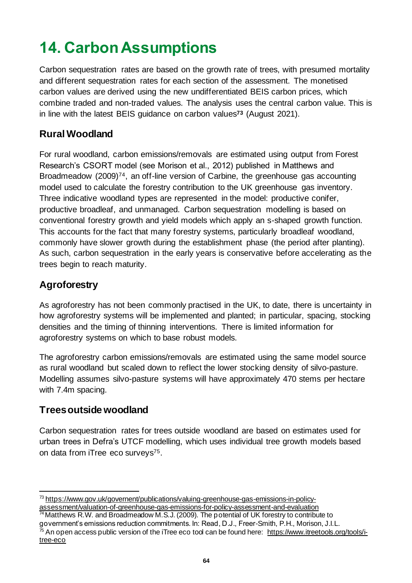# **14. Carbon Assumptions**

Carbon sequestration rates are based on the growth rate of trees, with presumed mortality and different sequestration rates for each section of the assessment. The monetised carbon values are derived using the new undifferentiated BEIS carbon prices, which combine traded and non-traded values. The analysis uses the central carbon value. This is in line with the latest BEIS guidance on carbon values**<sup>73</sup>** (August 2021).

### **Rural Woodland**

For rural woodland, carbon emissions/removals are estimated using output from Forest Research's CSORT model (see Morison et al., 2012) published in Matthews and Broadmeadow (2009)74, an off-line version of Carbine, the greenhouse gas accounting model used to calculate the forestry contribution to the UK greenhouse gas inventory. Three indicative woodland types are represented in the model: productive conifer, productive broadleaf, and unmanaged. Carbon sequestration modelling is based on conventional forestry growth and yield models which apply an s-shaped growth function. This accounts for the fact that many forestry systems, particularly broadleaf woodland, commonly have slower growth during the establishment phase (the period after planting). As such, carbon sequestration in the early years is conservative before accelerating as the trees begin to reach maturity.

### **Agroforestry**

As agroforestry has not been commonly practised in the UK, to date, there is uncertainty in how agroforestry systems will be implemented and planted; in particular, spacing, stocking densities and the timing of thinning interventions. There is limited information for agroforestry systems on which to base robust models.

The agroforestry carbon emissions/removals are estimated using the same model source as rural woodland but scaled down to reflect the lower stocking density of silvo-pasture. Modelling assumes silvo-pasture systems will have approximately 470 stems per hectare with 7.4m spacing.

### **Trees outside woodland**

Carbon sequestration rates for trees outside woodland are based on estimates used for urban trees in Defra's UTCF modelling, which uses individual tree growth models based on data from iTree eco surveys75.

<sup>73</sup> [https://www.gov.uk/governent/publications/valuing-greenhouse-gas-emissions-in-policy](https://www.gov.uk/governent/publications/valuing-greenhouse-gas-emissions-in-policy-appraisal/valuation-of-greenhouse-gas-emissions-for-policy-appraisal-and-evaluation)[assessment/valuation-of-greenhouse-gas-emissions-for-policy-assessment-and-evaluation](https://www.gov.uk/governent/publications/valuing-greenhouse-gas-emissions-in-policy-appraisal/valuation-of-greenhouse-gas-emissions-for-policy-appraisal-and-evaluation)

<sup>74</sup>Matthews R.W. and Broadmeadow M.S.J. (2009). The potential of UK forestry to contribute to government's emissions reduction commitments. In: Read, D.J., Freer-Smith, P.H., Morison, J.I.L.  $75$  An open access public version of the iTree eco tool can be found here: [https://www.itreetools.org/tools/i](https://www.itreetools.org/tools/i-tree-eco)[tree-eco](https://www.itreetools.org/tools/i-tree-eco)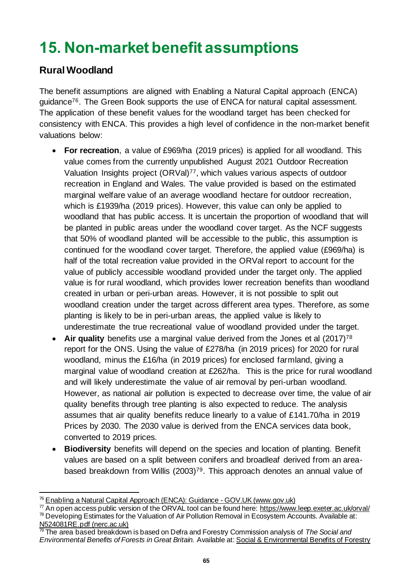# **15. Non-market benefit assumptions**

### **Rural Woodland**

The benefit assumptions are aligned with Enabling a Natural Capital approach (ENCA) guidance<sup>76</sup>. The Green Book supports the use of ENCA for natural capital assessment. The application of these benefit values for the woodland target has been checked for consistency with ENCA. This provides a high level of confidence in the non-market benefit valuations below:

- **For recreation**, a value of £969/ha (2019 prices) is applied for all woodland. This value comes from the currently unpublished August 2021 Outdoor Recreation Valuation Insights project (ORVal)77, which values various aspects of outdoor recreation in England and Wales. The value provided is based on the estimated marginal welfare value of an average woodland hectare for outdoor recreation, which is £1939/ha (2019 prices). However, this value can only be applied to woodland that has public access. It is uncertain the proportion of woodland that will be planted in public areas under the woodland cover target. As the NCF suggests that 50% of woodland planted will be accessible to the public, this assumption is continued for the woodland cover target. Therefore, the applied value (£969/ha) is half of the total recreation value provided in the ORVal report to account for the value of publicly accessible woodland provided under the target only. The applied value is for rural woodland, which provides lower recreation benefits than woodland created in urban or peri-urban areas. However, it is not possible to split out woodland creation under the target across different area types. Therefore, as some planting is likely to be in peri-urban areas, the applied value is likely to underestimate the true recreational value of woodland provided under the target.
- Air quality benefits use a marginal value derived from the Jones et al (2017)<sup>78</sup> report for the ONS. Using the value of £278/ha (in 2019 prices) for 2020 for rural woodland, minus the £16/ha (in 2019 prices) for enclosed farmland, giving a marginal value of woodland creation at £262/ha. This is the price for rural woodland and will likely underestimate the value of air removal by peri-urban woodland. However, as national air pollution is expected to decrease over time, the value of air quality benefits through tree planting is also expected to reduce. The analysis assumes that air quality benefits reduce linearly to a value of £141.70/ha in 2019 Prices by 2030. The 2030 value is derived from the ENCA services data book, converted to 2019 prices.
- **Biodiversity** benefits will depend on the species and location of planting. Benefit values are based on a split between conifers and broadleaf derived from an areabased breakdown from Willis (2003)79. This approach denotes an annual value of

<sup>76</sup> [Enabling a Natural Capital Approach \(ENCA\): Guidance -](https://www.gov.uk/government/publications/enabling-a-natural-capital-approach-enca-guidance) GOV.UK (www.gov.uk)

 $77$  An open access public version of the ORVAL tool can be found here[: https://www.leep.exeter.ac.uk/orval/](https://www.leep.exeter.ac.uk/orval/) <sup>78</sup> Developing Estimates for the Valuation of Air Pollution Removal in Ecosystem Accounts. Available at: [N524081RE.pdf \(nerc.ac.uk\)](http://nora.nerc.ac.uk/id/eprint/524081/7/N524081RE.pdf)

<sup>79</sup> The area based breakdown is based on Defra and Forestry Commission analysis of *The Social and Environmental Benefits of Forests in Great Britain.* Available at[: Social & Environmental Benefits of Forestry](https://forestry.gov.scot/publications/665-the-social-and-environmental-benefits-of-forests-in-great-britain-main-report/viewdocument/665)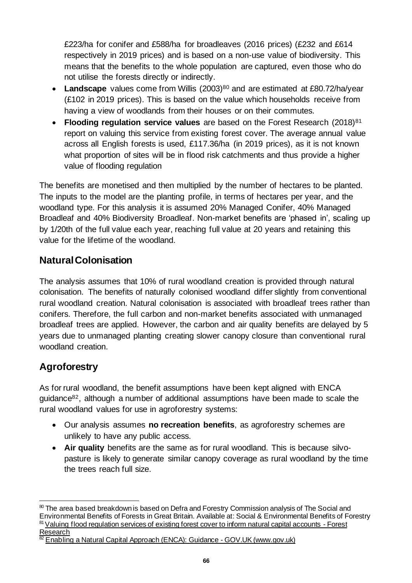£223/ha for conifer and £588/ha for broadleaves (2016 prices) (£232 and £614 respectively in 2019 prices) and is based on a non-use value of biodiversity. This means that the benefits to the whole population are captured, even those who do not utilise the forests directly or indirectly.

- Landscape values come from Willis (2003)<sup>80</sup> and are estimated at £80.72/ha/year (£102 in 2019 prices). This is based on the value which households receive from having a view of woodlands from their houses or on their commutes.
- **Flooding regulation service values** are based on the Forest Research (2018)<sup>81</sup> report on valuing this service from existing forest cover. The average annual value across all English forests is used, £117.36/ha (in 2019 prices), as it is not known what proportion of sites will be in flood risk catchments and thus provide a higher value of flooding regulation

The benefits are monetised and then multiplied by the number of hectares to be planted. The inputs to the model are the planting profile, in terms of hectares per year, and the woodland type. For this analysis it is assumed 20% Managed Conifer, 40% Managed Broadleaf and 40% Biodiversity Broadleaf. Non-market benefits are 'phased in', scaling up by 1/20th of the full value each year, reaching full value at 20 years and retaining this value for the lifetime of the woodland.

### **Natural Colonisation**

The analysis assumes that 10% of rural woodland creation is provided through natural colonisation. The benefits of naturally colonised woodland differ slightly from conventional rural woodland creation. Natural colonisation is associated with broadleaf trees rather than conifers. Therefore, the full carbon and non-market benefits associated with unmanaged broadleaf trees are applied. However, the carbon and air quality benefits are delayed by 5 years due to unmanaged planting creating slower canopy closure than conventional rural woodland creation.

### **Agroforestry**

As for rural woodland, the benefit assumptions have been kept aligned with ENCA guidance82, although a number of additional assumptions have been made to scale the rural woodland values for use in agroforestry systems:

- Our analysis assumes **no recreation benefits**, as agroforestry schemes are unlikely to have any public access.
- **Air quality** benefits are the same as for rural woodland. This is because silvopasture is likely to generate similar canopy coverage as rural woodland by the time the trees reach full size.

<sup>80</sup> The area based breakdown is based on Defra and Forestry Commission analysis of The Social and Environmental Benefits of Forests in Great Britain. Available at[: Social & Environmental Benefits of Forestry](https://forestry.gov.scot/publications/665-the-social-and-environmental-benefits-of-forests-in-great-britain-main-report/viewdocument/665) <sup>81</sup> [Valuing flood regulation services of existing forest cover to inform natural capital accounts -](https://www.forestresearch.gov.uk/research/valuing-flood-regulation-services-existing-forest-cover-inform-natural-capital-accounts/) Forest [Research](https://www.forestresearch.gov.uk/research/valuing-flood-regulation-services-existing-forest-cover-inform-natural-capital-accounts/)

<sup>&</sup>lt;sup>2</sup> [Enabling a Natural Capital Approach \(ENCA\): Guidance -](https://www.gov.uk/government/publications/enabling-a-natural-capital-approach-enca-guidance) GOV.UK (www.gov.uk)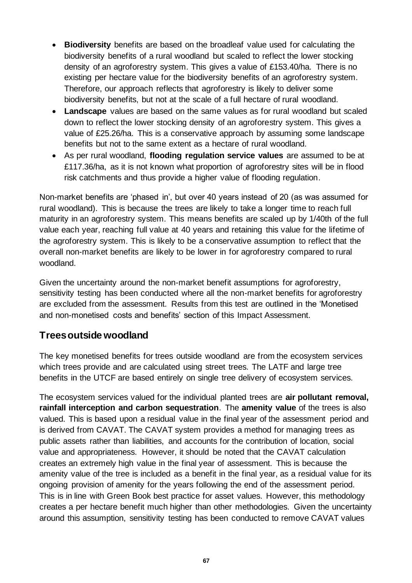- **Biodiversity** benefits are based on the broadleaf value used for calculating the biodiversity benefits of a rural woodland but scaled to reflect the lower stocking density of an agroforestry system. This gives a value of £153.40/ha. There is no existing per hectare value for the biodiversity benefits of an agroforestry system. Therefore, our approach reflects that agroforestry is likely to deliver some biodiversity benefits, but not at the scale of a full hectare of rural woodland.
- **Landscape** values are based on the same values as for rural woodland but scaled down to reflect the lower stocking density of an agroforestry system. This gives a value of £25.26/ha. This is a conservative approach by assuming some landscape benefits but not to the same extent as a hectare of rural woodland.
- As per rural woodland, **flooding regulation service values** are assumed to be at £117.36/ha, as it is not known what proportion of agroforestry sites will be in flood risk catchments and thus provide a higher value of flooding regulation.

Non-market benefits are 'phased in', but over 40 years instead of 20 (as was assumed for rural woodland). This is because the trees are likely to take a longer time to reach full maturity in an agroforestry system. This means benefits are scaled up by 1/40th of the full value each year, reaching full value at 40 years and retaining this value for the lifetime of the agroforestry system. This is likely to be a conservative assumption to reflect that the overall non-market benefits are likely to be lower in for agroforestry compared to rural woodland.

Given the uncertainty around the non-market benefit assumptions for agroforestry, sensitivity testing has been conducted where all the non-market benefits for agroforestry are excluded from the assessment. Results from this test are outlined in the 'Monetised and non-monetised costs and benefits' section of this Impact Assessment.

#### **Trees outside woodland**

The key monetised benefits for trees outside woodland are from the ecosystem services which trees provide and are calculated using street trees. The LATF and large tree benefits in the UTCF are based entirely on single tree delivery of ecosystem services.

The ecosystem services valued for the individual planted trees are **air pollutant removal, rainfall interception and carbon sequestration**. The **amenity value** of the trees is also valued. This is based upon a residual value in the final year of the assessment period and is derived from CAVAT. The CAVAT system provides a method for managing trees as public assets rather than liabilities, and accounts for the contribution of location, social value and appropriateness. However, it should be noted that the CAVAT calculation creates an extremely high value in the final year of assessment. This is because the amenity value of the tree is included as a benefit in the final year, as a residual value for its ongoing provision of amenity for the years following the end of the assessment period. This is in line with Green Book best practice for asset values. However, this methodology creates a per hectare benefit much higher than other methodologies. Given the uncertainty around this assumption, sensitivity testing has been conducted to remove CAVAT values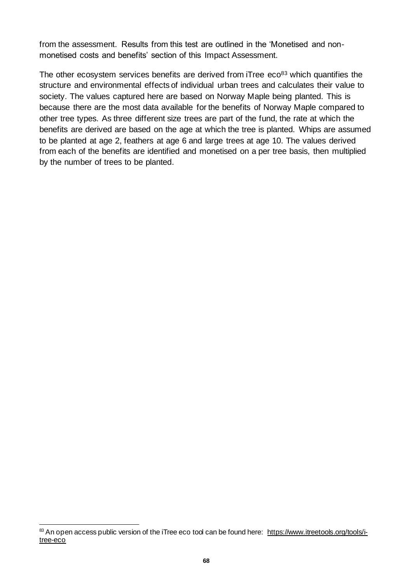from the assessment. Results from this test are outlined in the 'Monetised and nonmonetised costs and benefits' section of this Impact Assessment.

The other ecosystem services benefits are derived from iTree eco<sup>83</sup> which quantifies the structure and environmental effects of individual urban trees and calculates their value to society. The values captured here are based on Norway Maple being planted. This is because there are the most data available for the benefits of Norway Maple compared to other tree types. As three different size trees are part of the fund, the rate at which the benefits are derived are based on the age at which the tree is planted. Whips are assumed to be planted at age 2, feathers at age 6 and large trees at age 10. The values derived from each of the benefits are identified and monetised on a per tree basis, then multiplied by the number of trees to be planted.

<sup>&</sup>lt;sup>83</sup> An open access public version of the iTree eco tool can be found here: [https://www.itreetools.org/tools/i](https://www.itreetools.org/tools/i-tree-eco)[tree-eco](https://www.itreetools.org/tools/i-tree-eco)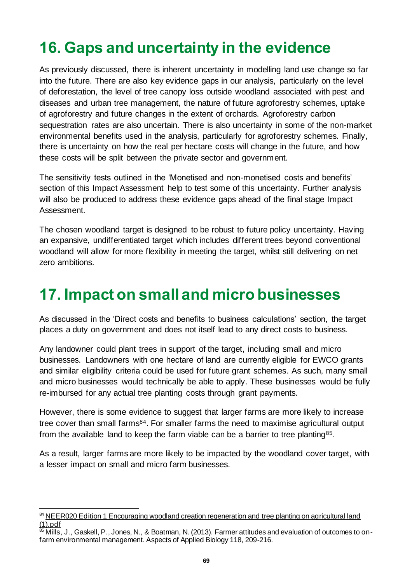## **16. Gaps and uncertainty in the evidence**

As previously discussed, there is inherent uncertainty in modelling land use change so far into the future. There are also key evidence gaps in our analysis, particularly on the level of deforestation, the level of tree canopy loss outside woodland associated with pest and diseases and urban tree management, the nature of future agroforestry schemes, uptake of agroforestry and future changes in the extent of orchards. Agroforestry carbon sequestration rates are also uncertain. There is also uncertainty in some of the non-market environmental benefits used in the analysis, particularly for agroforestry schemes. Finally, there is uncertainty on how the real per hectare costs will change in the future, and how these costs will be split between the private sector and government.

The sensitivity tests outlined in the 'Monetised and non-monetised costs and benefits' section of this Impact Assessment help to test some of this uncertainty. Further analysis will also be produced to address these evidence gaps ahead of the final stage Impact Assessment.

The chosen woodland target is designed to be robust to future policy uncertainty. Having an expansive, undifferentiated target which includes different trees beyond conventional woodland will allow for more flexibility in meeting the target, whilst still delivering on net zero ambitions.

## **17. Impact on small and micro businesses**

As discussed in the 'Direct costs and benefits to business calculations' section, the target places a duty on government and does not itself lead to any direct costs to business.

Any landowner could plant trees in support of the target, including small and micro businesses. Landowners with one hectare of land are currently eligible for EWCO grants and similar eligibility criteria could be used for future grant schemes. As such, many small and micro businesses would technically be able to apply. These businesses would be fully re-imbursed for any actual tree planting costs through grant payments.

However, there is some evidence to suggest that larger farms are more likely to increase tree cover than small farms<sup>84</sup>. For smaller farms the need to maximise agricultural output from the available land to keep the farm viable can be a barrier to tree planting<sup>85</sup>.

As a result, larger farms are more likely to be impacted by the woodland cover target, with a lesser impact on small and micro farm businesses.

<sup>84</sup> NEER020 Edition 1 Encouraging woodland creation regeneration and tree planting on agricultural land [\(1\).pdf](file:///C:/Users/x957333/Downloads/NEER020%20Edition%201%20Encouraging%20woodland%20creation%20regeneration%20and%20tree%20planting%20on%20agricultural%20land%20(1).pdf)

 $\overline{^{85}$  Mills, J., Gaskell, P., Jones, N., & Boatman, N. (2013). Farmer attitudes and evaluation of outcomes to onfarm environmental management. Aspects of Applied Biology 118, 209-216.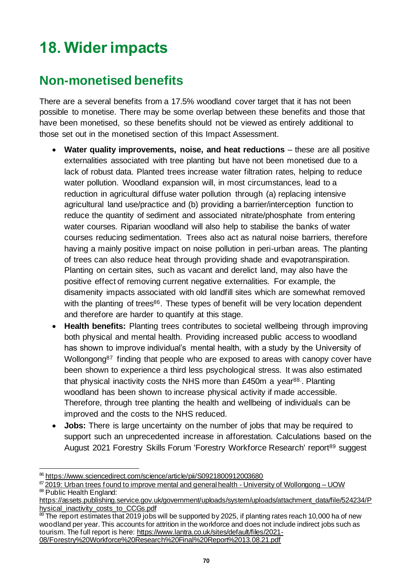# **18. Wider impacts**

## **Non-monetised benefits**

There are a several benefits from a 17.5% woodland cover target that it has not been possible to monetise. There may be some overlap between these benefits and those that have been monetised, so these benefits should not be viewed as entirely additional to those set out in the monetised section of this Impact Assessment.

- **Water quality improvements, noise, and heat reductions** these are all positive externalities associated with tree planting but have not been monetised due to a lack of robust data. Planted trees increase water filtration rates, helping to reduce water pollution. Woodland expansion will, in most circumstances, lead to a reduction in agricultural diffuse water pollution through (a) replacing intensive agricultural land use/practice and (b) providing a barrier/interception function to reduce the quantity of sediment and associated nitrate/phosphate from entering water courses. Riparian woodland will also help to stabilise the banks of water courses reducing sedimentation. Trees also act as natural noise barriers, therefore having a mainly positive impact on noise pollution in peri-urban areas. The planting of trees can also reduce heat through providing shade and evapotranspiration. Planting on certain sites, such as vacant and derelict land, may also have the positive effect of removing current negative externalities. For example, the disamenity impacts associated with old landfill sites which are somewhat removed with the planting of trees<sup>86</sup>. These types of benefit will be very location dependent and therefore are harder to quantify at this stage.
- **Health benefits:** Planting trees contributes to societal wellbeing through improving both physical and mental health. Providing increased public access to woodland has shown to improve individual's mental health, with a study by the University of Wollongong<sup>87</sup> finding that people who are exposed to areas with canopy cover have been shown to experience a third less psychological stress. It was also estimated that physical inactivity costs the NHS more than £450m a year<sup>88</sup>. Planting woodland has been shown to increase physical activity if made accessible. Therefore, through tree planting the health and wellbeing of individuals can be improved and the costs to the NHS reduced.
- **Jobs:** There is large uncertainty on the number of jobs that may be required to support such an unprecedented increase in afforestation. Calculations based on the August 2021 Forestry Skills Forum 'Forestry Workforce Research' report<sup>89</sup> suggest

<sup>86</sup> <https://www.sciencedirect.com/science/article/pii/S0921800912003680>

<sup>87</sup> [2019: Urban trees found to improve mental and general health -](https://www.uow.edu.au/media/2019/urban-trees-found-to-improve-mental-and-general-health.php) University of Wollongong - UOW 88 Public Health England:

[https://assets.publishing.service.gov.uk/government/uploads/system/uploads/attachment\\_data/file/524234/P](https://assets.publishing.service.gov.uk/government/uploads/system/uploads/attachment_data/file/524234/Physical_inactivity_costs_to_CCGs.pdf) [hysical\\_inactivity\\_costs\\_to\\_CCGs.pdf](https://assets.publishing.service.gov.uk/government/uploads/system/uploads/attachment_data/file/524234/Physical_inactivity_costs_to_CCGs.pdf)

 $89$  The report estimates that 2019 jobs will be supported by 2025, if planting rates reach 10,000 ha of new woodland per year. This accounts for attrition in the workforce and does not include indirect jobs such as tourism. The full report is here[: https://www.lantra.co.uk/sites/default/files/2021-](https://www.lantra.co.uk/sites/default/files/2021-08/Forestry%20Workforce%20Research%20Final%20Report%2013.08.21.pdf) [08/Forestry%20Workforce%20Research%20Final%20Report%2013.08.21.pdf](https://www.lantra.co.uk/sites/default/files/2021-08/Forestry%20Workforce%20Research%20Final%20Report%2013.08.21.pdf)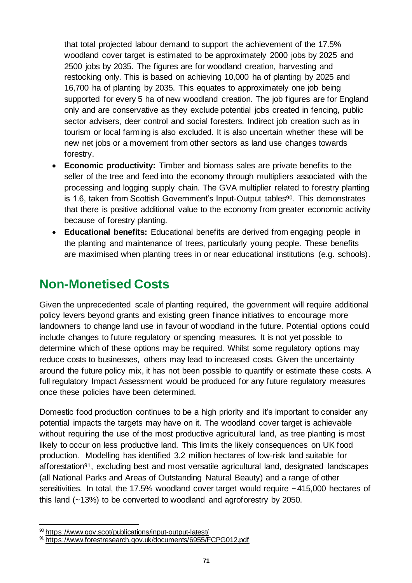that total projected labour demand to support the achievement of the 17.5% woodland cover target is estimated to be approximately 2000 jobs by 2025 and 2500 jobs by 2035. The figures are for woodland creation, harvesting and restocking only. This is based on achieving 10,000 ha of planting by 2025 and 16,700 ha of planting by 2035. This equates to approximately one job being supported for every 5 ha of new woodland creation. The job figures are for England only and are conservative as they exclude potential jobs created in fencing, public sector advisers, deer control and social foresters. Indirect job creation such as in tourism or local farming is also excluded. It is also uncertain whether these will be new net jobs or a movement from other sectors as land use changes towards forestry.

- **Economic productivity:** Timber and biomass sales are private benefits to the seller of the tree and feed into the economy through multipliers associated with the processing and logging supply chain. The GVA multiplier related to forestry planting is 1.6, taken from Scottish Government's Input-Output tables<sup>90</sup>. This demonstrates that there is positive additional value to the economy from greater economic activity because of forestry planting.
- **Educational benefits:** Educational benefits are derived from engaging people in the planting and maintenance of trees, particularly young people. These benefits are maximised when planting trees in or near educational institutions (e.g. schools).

## **Non-Monetised Costs**

Given the unprecedented scale of planting required, the government will require additional policy levers beyond grants and existing green finance initiatives to encourage more landowners to change land use in favour of woodland in the future. Potential options could include changes to future regulatory or spending measures. It is not yet possible to determine which of these options may be required. Whilst some regulatory options may reduce costs to businesses, others may lead to increased costs. Given the uncertainty around the future policy mix, it has not been possible to quantify or estimate these costs. A full regulatory Impact Assessment would be produced for any future regulatory measures once these policies have been determined.

Domestic food production continues to be a high priority and it's important to consider any potential impacts the targets may have on it. The woodland cover target is achievable without requiring the use of the most productive agricultural land, as tree planting is most likely to occur on less productive land. This limits the likely consequences on UK food production. Modelling has identified 3.2 million hectares of low-risk land suitable for afforestation91, excluding best and most versatile agricultural land, designated landscapes (all National Parks and Areas of Outstanding Natural Beauty) and a range of other sensitivities. In total, the 17.5% woodland cover target would require ~415,000 hectares of this land (~13%) to be converted to woodland and agroforestry by 2050.

<sup>90</sup> <https://www.gov.scot/publications/input-output-latest/>

<sup>91</sup> https://www.forestresearch.gov.uk/documents/6955/FCPG012.pdf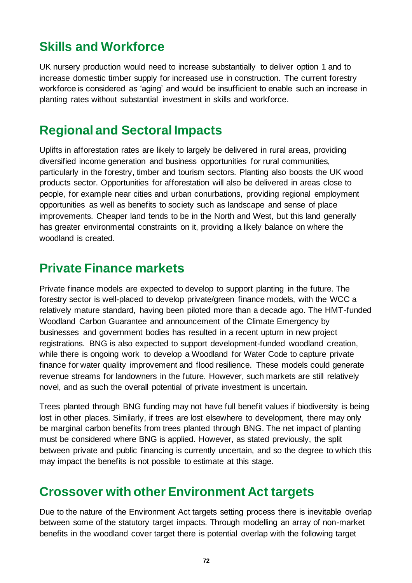## **Skills and Workforce**

UK nursery production would need to increase substantially to deliver option 1 and to increase domestic timber supply for increased use in construction. The current forestry workforce is considered as 'aging' and would be insufficient to enable such an increase in planting rates without substantial investment in skills and workforce.

### **Regional and Sectoral Impacts**

Uplifts in afforestation rates are likely to largely be delivered in rural areas, providing diversified income generation and business opportunities for rural communities, particularly in the forestry, timber and tourism sectors. Planting also boosts the UK wood products sector. Opportunities for afforestation will also be delivered in areas close to people, for example near cities and urban conurbations, providing regional employment opportunities as well as benefits to society such as landscape and sense of place improvements. Cheaper land tends to be in the North and West, but this land generally has greater environmental constraints on it, providing a likely balance on where the woodland is created.

### **Private Finance markets**

Private finance models are expected to develop to support planting in the future. The forestry sector is well-placed to develop private/green finance models, with the WCC a relatively mature standard, having been piloted more than a decade ago. The HMT-funded Woodland Carbon Guarantee and announcement of the Climate Emergency by businesses and government bodies has resulted in a recent upturn in new project registrations. BNG is also expected to support development-funded woodland creation, while there is ongoing work to develop a Woodland for Water Code to capture private finance for water quality improvement and flood resilience. These models could generate revenue streams for landowners in the future. However, such markets are still relatively novel, and as such the overall potential of private investment is uncertain.

Trees planted through BNG funding may not have full benefit values if biodiversity is being lost in other places. Similarly, if trees are lost elsewhere to development, there may only be marginal carbon benefits from trees planted through BNG. The net impact of planting must be considered where BNG is applied. However, as stated previously, the split between private and public financing is currently uncertain, and so the degree to which this may impact the benefits is not possible to estimate at this stage.

### **Crossover with other Environment Act targets**

Due to the nature of the Environment Act targets setting process there is inevitable overlap between some of the statutory target impacts. Through modelling an array of non-market benefits in the woodland cover target there is potential overlap with the following target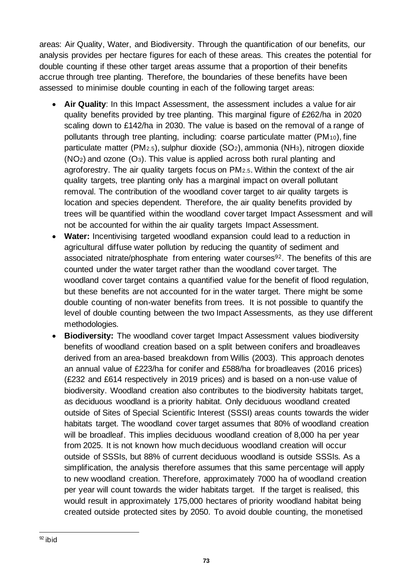areas: Air Quality, Water, and Biodiversity. Through the quantification of our benefits, our analysis provides per hectare figures for each of these areas. This creates the potential for double counting if these other target areas assume that a proportion of their benefits accrue through tree planting. Therefore, the boundaries of these benefits have been assessed to minimise double counting in each of the following target areas:

- **Air Quality**: In this Impact Assessment, the assessment includes a value for air quality benefits provided by tree planting. This marginal figure of £262/ha in 2020 scaling down to £142/ha in 2030. The value is based on the removal of a range of pollutants through tree planting, including: coarse particulate matter (PM10), fine particulate matter (PM2.5), sulphur dioxide (SO2), ammonia (NH3), nitrogen dioxide  $(NO<sub>2</sub>)$  and ozone  $(O<sub>3</sub>)$ . This value is applied across both rural planting and agroforestry. The air quality targets focus on PM2.5. Within the context of the air quality targets, tree planting only has a marginal impact on overall pollutant removal. The contribution of the woodland cover target to air quality targets is location and species dependent. Therefore, the air quality benefits provided by trees will be quantified within the woodland cover target Impact Assessment and will not be accounted for within the air quality targets Impact Assessment.
- **Water:** Incentivising targeted woodland expansion could lead to a reduction in agricultural diffuse water pollution by reducing the quantity of sediment and associated nitrate/phosphate from entering water courses<sup>92</sup>. The benefits of this are counted under the water target rather than the woodland cover target. The woodland cover target contains a quantified value for the benefit of flood regulation, but these benefits are not accounted for in the water target. There might be some double counting of non-water benefits from trees. It is not possible to quantify the level of double counting between the two Impact Assessments, as they use different methodologies.
- **Biodiversity:** The woodland cover target Impact Assessment values biodiversity benefits of woodland creation based on a split between conifers and broadleaves derived from an area-based breakdown from Willis (2003). This approach denotes an annual value of £223/ha for conifer and £588/ha for broadleaves (2016 prices) (£232 and £614 respectively in 2019 prices) and is based on a non-use value of biodiversity. Woodland creation also contributes to the biodiversity habitats target, as deciduous woodland is a priority habitat. Only deciduous woodland created outside of Sites of Special Scientific Interest (SSSI) areas counts towards the wider habitats target. The woodland cover target assumes that 80% of woodland creation will be broadleaf. This implies deciduous woodland creation of 8,000 ha per year from 2025. It is not known how much deciduous woodland creation will occur outside of SSSIs, but 88% of current deciduous woodland is outside SSSIs. As a simplification, the analysis therefore assumes that this same percentage will apply to new woodland creation. Therefore, approximately 7000 ha of woodland creation per year will count towards the wider habitats target. If the target is realised, this would result in approximately 175,000 hectares of priority woodland habitat being created outside protected sites by 2050. To avoid double counting, the monetised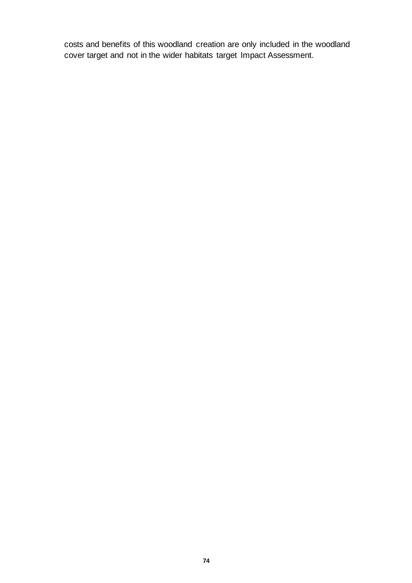costs and benefits of this woodland creation are only included in the woodland cover target and not in the wider habitats target Impact Assessment.